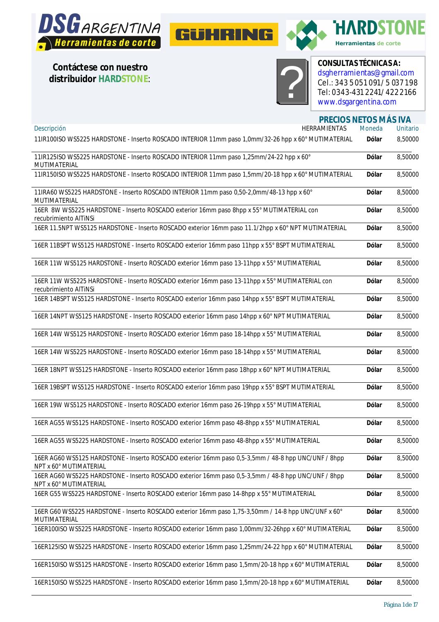





**HARDSTONE** Herramientas de corte

**Contáctese con nuestro distribuidor HARDSTONE**:



CONSULTAS TECNICAS A<br>
dsgherramientas@gmai<br>
Cel.: 343 5 051 091/5 0<br>
Tel: 0343-431 2241/422<br> [www.dsgargentina.com](http://www.dsgargentina.com) **CONSULTAS TÉCNICAS A:** [dsgherramientas@gmail.com](mailto:dsgherramientas@gmail.com) Cel.: 343 5 051 091/ 5 037 198 Tel: 0343-431 2241/ 422 2166

**PRECIOS NETOS MÁS IVA**

| Descripción<br>HERRAMIENTAS                                                                                                   | Moneda       | <b>Unitario</b> |
|-------------------------------------------------------------------------------------------------------------------------------|--------------|-----------------|
| 11IR100ISO WS5225 HARDSTONE - Inserto ROSCADO INTERIOR 11mm paso 1,0mm/32-26 hpp x 60° MUTIMATERIAL                           | <b>Dólar</b> | 8,50000         |
| 11IR125ISO WS5225 HARDSTONE - Inserto ROSCADO INTERIOR 11mm paso 1,25mm/24-22 hpp x 60°<br>MUTIMATERIAL                       | Dólar        | 8,50000         |
| 11IR150ISO WS5225 HARDSTONE - Inserto ROSCADO INTERIOR 11mm paso 1,5mm/20-18 hpp x 60° MUTIMATERIAL                           | <b>Dólar</b> | 8,50000         |
| 11IRA60 WS5225 HARDSTONE - Inserto ROSCADO INTERIOR 11mm paso 0,50-2,0mm/48-13 hpp x 60°<br>MUTIMATERIAL                      | Dólar        | 8,50000         |
| 16ER 8W WS5225 HARDSTONE - Inserto ROSCADO exterior 16mm paso 8hpp x 55° MUTIMATERIAL con<br>recubrimiento AlTINSI            | <b>Dólar</b> | 8,50000         |
| 16ER 11.5NPT WS5125 HARDSTONE - Inserto ROSCADO exterior 16mm paso 11.1/2hpp x 60° NPT MUTIMATERIAL                           | <b>Dólar</b> | 8,50000         |
| 16ER 11BSPT WS5125 HARDSTONE - Inserto ROSCADO exterior 16mm paso 11hpp x 55° BSPT MUTIMATERIAL                               | <b>Dólar</b> | 8,50000         |
| 16ER 11W WS5125 HARDSTONE - Inserto ROSCADO exterior 16mm paso 13-11hpp x 55° MUTIMATERIAL                                    | <b>Dólar</b> | 8,50000         |
| 16ER 11W WS5225 HARDSTONE - Inserto ROSCADO exterior 16mm paso 13-11hpp x 55° MUTIMATERIAL con<br>recubrimiento AlTINSI       | Dólar        | 8,50000         |
| 16ER 14BSPT WS5125 HARDSTONE - Inserto ROSCADO exterior 16mm paso 14hpp x 55° BSPT MUTIMATERIAL                               | <b>Dólar</b> | 8,50000         |
| 16ER 14NPT WS5125 HARDSTONE - Inserto ROSCADO exterior 16mm paso 14hpp x 60° NPT MUTIMATERIAL                                 | <b>Dólar</b> | 8,50000         |
| 16ER 14W WS5125 HARDSTONE - Inserto ROSCADO exterior 16mm paso 18-14hpp x 55° MUTIMATERIAL                                    | <b>Dólar</b> | 8,50000         |
| 16ER 14W WS5225 HARDSTONE - Inserto ROSCADO exterior 16mm paso 18-14hpp x 55° MUTIMATERIAL                                    | Dólar        | 8,50000         |
| 16ER 18NPT WS5125 HARDSTONE - Inserto ROSCADO exterior 16mm paso 18hpp x 60° NPT MUTIMATERIAL                                 | <b>Dólar</b> | 8,50000         |
| 16ER 19BSPT WS5125 HARDSTONE - Inserto ROSCADO exterior 16mm paso 19hpp x 55° BSPT MUTIMATERIAL                               | <b>Dólar</b> | 8,50000         |
| 16ER 19W WS5125 HARDSTONE - Inserto ROSCADO exterior 16mm paso 26-19hpp x 55° MUTIMATERIAL                                    | Dólar        | 8,50000         |
| 16ER AG55 WS5125 HARDSTONE - Inserto ROSCADO exterior 16mm paso 48-8hpp x 55° MUTIMATERIAL                                    | <b>Dólar</b> | 8,50000         |
| 16ER AG55 WS5225 HARDSTONE - Inserto ROSCADO exterior 16mm paso 48-8hpp x 55° MUTIMATERIAL                                    | <b>Dólar</b> | 8,50000         |
| 16ER AG60 WS5125 HARDSTONE - Inserto ROSCADO exterior 16mm paso 0,5-3,5mm / 48-8 hpp UNC/UNF / 8hpp<br>NPT x 60° MUTIMATERIAL | <b>Dólar</b> | 8,50000         |
| 16ER AG60 WS5225 HARDSTONE - Inserto ROSCADO exterior 16mm paso 0,5-3,5mm / 48-8 hpp UNC/UNF / 8hpp<br>NPT x 60° MUTIMATERIAL | <b>Dólar</b> | 8,50000         |
| 16ER G55 WS5225 HARDSTONE - Inserto ROSCADO exterior 16mm paso 14-8hpp x 55° MUTIMATERIAL                                     | <b>Dólar</b> | 8,50000         |
| 16ER G60 WS5225 HARDSTONE - Inserto ROSCADO exterior 16mm paso 1,75-3,50mm / 14-8 hpp UNC/UNF x 60°<br>MUTIMATERIAL           | <b>Dólar</b> | 8,50000         |
| 16ER100ISO WS5225 HARDSTONE - Inserto ROSCADO exterior 16mm paso 1,00mm/32-26hpp x 60° MUTIMATERIAL                           | <b>Dólar</b> | 8,50000         |
| 16ER125ISO WS5225 HARDSTONE - Inserto ROSCADO exterior 16mm paso 1,25mm/24-22 hpp x 60° MUTIMATERIAL                          | Dólar        | 8,50000         |
| 16ER150ISO WS5125 HARDSTONE - Inserto ROSCADO exterior 16mm paso 1,5mm/20-18 hpp x 60° MUTIMATERIAL                           | <b>Dólar</b> | 8,50000         |
| 16ER150ISO WS5225 HARDSTONE - Inserto ROSCADO exterior 16mm paso 1,5mm/20-18 hpp x 60° MUTIMATERIAL                           | <b>Dólar</b> | 8,50000         |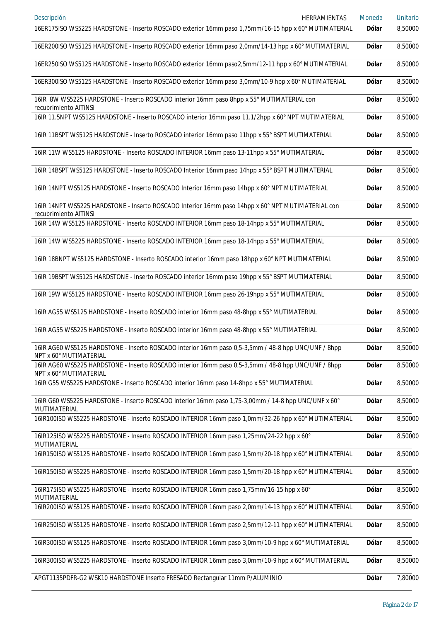| Descripción<br>HERRAMIENTAS<br>16ER175ISO WS5225 HARDSTONE - Inserto ROSCADO exterior 16mm paso 1,75mm/16-15 hpp x 60° MUTIMATERIAL | Moneda<br><b>Dólar</b> | Unitario<br>8,50000 |
|-------------------------------------------------------------------------------------------------------------------------------------|------------------------|---------------------|
| 16ER200ISO WS5125 HARDSTONE - Inserto ROSCADO exterior 16mm paso 2,0mm/14-13 hpp x 60° MUTIMATERIAL                                 | <b>Dólar</b>           | 8,50000             |
| 16ER250ISO WS5125 HARDSTONE - Inserto ROSCADO exterior 16mm paso2,5mm/12-11 hpp x 60° MUTIMATERIAL                                  | <b>Dólar</b>           | 8,50000             |
| 16ER300ISO WS5125 HARDSTONE - Inserto ROSCADO exterior 16mm paso 3,0mm/10-9 hpp x 60° MUTIMATERIAL                                  | <b>Dólar</b>           | 8,50000             |
| 16IR 8W WS5225 HARDSTONE - Inserto ROSCADO interior 16mm paso 8hpp x 55° MUTIMATERIAL con                                           | <b>Dólar</b>           | 8,50000             |
| recubrimiento AlTiNSi<br>16IR 11.5NPT WS5125 HARDSTONE - Inserto ROSCADO interior 16mm paso 11.1/2hpp x 60° NPT MUTIMATERIAL        | <b>Dólar</b>           | 8,50000             |
| 16IR 11BSPT WS5125 HARDSTONE - Inserto ROSCADO interior 16mm paso 11hpp x 55° BSPT MUTIMATERIAL                                     | <b>Dólar</b>           | 8,50000             |
| 16IR 11W WS5125 HARDSTONE - Inserto ROSCADO INTERIOR 16mm paso 13-11hpp x 55° MUTIMATERIAL                                          | Dólar                  | 8,50000             |
| 16IR 14BSPT WS5125 HARDSTONE - Inserto ROSCADO Interior 16mm paso 14hpp x 55° BSPT MUTIMATERIAL                                     | <b>Dólar</b>           | 8,50000             |
| 16IR 14NPT WS5125 HARDSTONE - Inserto ROSCADO Interior 16mm paso 14hpp x 60° NPT MUTIMATERIAL                                       | Dólar                  | 8,50000             |
| 16IR 14NPT WS5225 HARDSTONE - Inserto ROSCADO Interior 16mm paso 14hpp x 60° NPT MUTIMATERIAL con<br>recubrimiento AlTiNSi          | <b>Dólar</b>           | 8,50000             |
| 16IR 14W WS5125 HARDSTONE - Inserto ROSCADO INTERIOR 16mm paso 18-14hpp x 55° MUTIMATERIAL                                          | Dólar                  | 8,50000             |
| 16IR 14W WS5225 HARDSTONE - Inserto ROSCADO INTERIOR 16mm paso 18-14hpp x 55° MUTIMATERIAL                                          | <b>Dólar</b>           | 8,50000             |
| 16IR 18BNPT WS5125 HARDSTONE - Inserto ROSCADO interior 16mm paso 18hpp x 60° NPT MUTIMATERIAL                                      | Dólar                  | 8,50000             |
| 16IR 19BSPT WS5125 HARDSTONE - Inserto ROSCADO interior 16mm paso 19hpp x 55° BSPT MUTIMATERIAL                                     | <b>Dólar</b>           | 8,50000             |
| 16IR 19W WS5125 HARDSTONE - Inserto ROSCADO INTERIOR 16mm paso 26-19hpp x 55° MUTIMATERIAL                                          | Dólar                  | 8,50000             |
| 16IR AG55 WS5125 HARDSTONE - Inserto ROSCADO interior 16mm paso 48-8hpp x 55° MUTIMATERIAL                                          | Dólar                  | 8,50000             |
| 16IR AG55 WS5225 HARDSTONE - Inserto ROSCADO interior 16mm paso 48-8hpp x 55° MUTIMATERIAL                                          | Dólar                  | 8,50000             |
| 16IR AG60 WS5125 HARDSTONE - Inserto ROSCADO interior 16mm paso 0,5-3,5mm / 48-8 hpp UNC/UNF / 8hpp<br>NPT x 60° MUTIMATERIAL       | <b>Dólar</b>           | 8,50000             |
| 16IR AG60 WS5225 HARDSTONE - Inserto ROSCADO interior 16mm paso 0,5-3,5mm / 48-8 hpp UNC/UNF / 8hpp<br>NPT x 60° MUTIMATERIAL       | <b>Dólar</b>           | 8,50000             |
| 16IR G55 WS5225 HARDSTONE - Inserto ROSCADO interior 16mm paso 14-8hpp x 55° MUTIMATERIAL                                           | <b>Dólar</b>           | 8,50000             |
| 16IR G60 WS5225 HARDSTONE - Inserto ROSCADO interior 16mm paso 1,75-3,00mm / 14-8 hpp UNC/UNF x 60°<br>MUTIMATERIAL                 | <b>Dólar</b>           | 8,50000             |
| 16IR100ISO WS5225 HARDSTONE - Inserto ROSCADO INTERIOR 16mm paso 1,0mm/32-26 hpp x 60° MUTIMATERIAL                                 | <b>Dólar</b>           | 8,50000             |
| 16IR125ISO WS5225 HARDSTONE - Inserto ROSCADO INTERIOR 16mm paso 1,25mm/24-22 hpp x 60°<br>MUTIMATERIAL                             | Dólar                  | 8,50000             |
| 16IR150ISO WS5125 HARDSTONE - Inserto ROSCADO INTERIOR 16mm paso 1,5mm/20-18 hpp x 60° MUTIMATERIAL                                 | <b>Dólar</b>           | 8,50000             |
| 16IR150ISO WS5225 HARDSTONE - Inserto ROSCADO INTERIOR 16mm paso 1,5mm/20-18 hpp x 60° MUTIMATERIAL                                 | <b>Dólar</b>           | 8,50000             |
| 16IR175ISO WS5225 HARDSTONE - Inserto ROSCADO INTERIOR 16mm paso 1,75mm/16-15 hpp x 60°<br>MUTIMATERIAL                             | <b>Dólar</b>           | 8,50000             |
| 16IR200ISO WS5125 HARDSTONE - Inserto ROSCADO INTERIOR 16mm paso 2,0mm/14-13 hpp x 60° MUTIMATERIAL                                 | <b>Dólar</b>           | 8,50000             |
| 16IR250ISO WS5125 HARDSTONE - Inserto ROSCADO INTERIOR 16mm paso 2,5mm/12-11 hpp x 60° MUTIMATERIAL                                 | <b>Dólar</b>           | 8,50000             |
| 16IR300ISO WS5125 HARDSTONE - Inserto ROSCADO INTERIOR 16mm paso 3,0mm/10-9 hpp x 60° MUTIMATERIAL                                  | <b>Dólar</b>           | 8,50000             |
| 16IR300ISO WS5225 HARDSTONE - Inserto ROSCADO INTERIOR 16mm paso 3,0mm/10-9 hpp x 60° MUTIMATERIAL                                  | <b>Dólar</b>           | 8,50000             |
| APGT1135PDFR-G2 WSK10 HARDSTONE Inserto FRESADO Rectangular 11mm P/ALUMINIO                                                         | <b>Dólar</b>           | 7,80000             |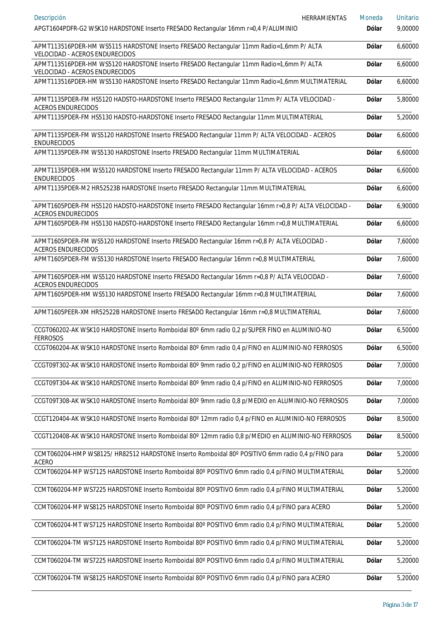| Descripción<br>HERRAMIENTAS                                                                                                     | Moneda       | Unitario |
|---------------------------------------------------------------------------------------------------------------------------------|--------------|----------|
| APGT1604PDFR-G2 WSK10 HARDSTONE Inserto FRESADO Rectangular 16mm r=0,4 P/ALUMINIO                                               | <b>Dólar</b> | 9,00000  |
| APMT113516PDER-HM WS5115 HARDSTONE Inserto FRESADO Rectangular 11mm Radio=1,6mm P/ ALTA<br>VELOCIDAD - ACEROS ENDURECIDOS       | Dólar        | 6,60000  |
| APMT113516PDER-HM WS5120 HARDSTONE Inserto FRESADO Rectangular 11mm Radio=1,6mm P/ ALTA<br>VELOCIDAD - ACEROS ENDURECIDOS       | <b>Dólar</b> | 6,60000  |
| APMT113516PDER-HM WS5130 HARDSTONE Inserto FRESADO Rectangular 11mm Radio=1,6mm MULTIMATERIAL                                   | <b>Dólar</b> | 6,60000  |
| APMT1135PDER-FM HS5120 HADSTO-HARDSTONE Inserto FRESADO Rectangular 11mm P/ ALTA VELOCIDAD -<br><b>ACEROS ENDURECIDOS</b>       | <b>Dólar</b> | 5,80000  |
| APMT1135PDER-FM HS5130 HADSTO-HARDSTONE Inserto FRESADO Rectangular 11mm MULTIMATERIAL                                          | <b>Dólar</b> | 5,20000  |
| APMT1135PDER-FM WS5120 HARDSTONE Inserto FRESADO Rectangular 11mm P/ ALTA VELOCIDAD - ACEROS<br><b>ENDURECIDOS</b>              | <b>Dólar</b> | 6,60000  |
| APMT1135PDER-FM WS5130 HARDSTONE Inserto FRESADO Rectangular 11mm MULTIMATERIAL                                                 | Dólar        | 6,60000  |
| APMT1135PDER-HM WS5120 HARDSTONE Inserto FRESADO Rectangular 11mm P/ ALTA VELOCIDAD - ACEROS<br><b>ENDURECIDOS</b>              | <b>Dólar</b> | 6,60000  |
| APMT1135PDER-M2 HR52523B HARDSTONE Inserto FRESADO Rectangular 11mm MULTIMATERIAL                                               | <b>Dólar</b> | 6,60000  |
| APMT1605PDER-FM HS5120 HADSTO-HARDSTONE Inserto FRESADO Rectangular 16mm r=0,8 P/ ALTA VELOCIDAD -<br><b>ACEROS ENDURECIDOS</b> | <b>Dólar</b> | 6,90000  |
| APMT1605PDER-FM HS5130 HADSTO-HARDSTONE Inserto FRESADO Rectangular 16mm r=0,8 MULTIMATERIAL                                    | <b>Dólar</b> | 6,60000  |
| APMT1605PDER-FM WS5120 HARDSTONE Inserto FRESADO Rectangular 16mm r=0,8 P/ ALTA VELOCIDAD -<br><b>ACEROS ENDURECIDOS</b>        | <b>Dólar</b> | 7,60000  |
| APMT1605PDER-FM WS5130 HARDSTONE Inserto FRESADO Rectangular 16mm r=0,8 MULTIMATERIAL                                           | <b>Dólar</b> | 7,60000  |
| APMT1605PDER-HM WS5120 HARDSTONE Inserto FRESADO Rectangular 16mm r=0,8 P/ ALTA VELOCIDAD -<br><b>ACEROS ENDURECIDOS</b>        | Dólar        | 7,60000  |
| APMT1605PDER-HM WS5130 HARDSTONE Inserto FRESADO Rectangular 16mm r=0,8 MULTIMATERIAL                                           | Dólar        | 7,60000  |
| APMT1605PEER-XM HR52522B HARDSTONE Inserto FRESADO Rectangular 16mm r=0,8 MULTIMATERIAL                                         | Dólar        | 7,60000  |
| CCGT060202-AK WSK10 HARDSTONE Inserto Romboidal 80° 6mm radio 0,2 p/SUPER FINO en ALUMINIO-NO<br><b>FERROSOS</b>                | <b>Dólar</b> | 6,50000  |
| CCGT060204-AK WSK10 HARDSTONE Inserto Romboidal 80° 6mm radio 0,4 p/FINO en ALUMINIO-NO FERROSOS                                | <b>Dólar</b> | 6,50000  |
| CCGT09T302-AK WSK10 HARDSTONE Inserto Romboidal 80° 9mm radio 0,2 p/FINO en ALUMINIO-NO FERROSOS                                | <b>Dólar</b> | 7,00000  |
| CCGT09T304-AK WSK10 HARDSTONE Inserto Romboidal 80° 9mm radio 0,4 p/FINO en ALUMINIO-NO FERROSOS                                | <b>Dólar</b> | 7,00000  |
| CCGT09T308-AK WSK10 HARDSTONE Inserto Romboidal 80° 9mm radio 0,8 p/MEDIO en ALUMINIO-NO FERROSOS                               | <b>Dólar</b> | 7,00000  |
| CCGT120404-AK WSK10 HARDSTONE Inserto Romboidal 80° 12mm radio 0,4 p/FINO en ALUMINIO-NO FERROSOS                               | <b>Dólar</b> | 8,50000  |
| CCGT120408-AK WSK10 HARDSTONE Inserto Romboidal 80° 12mm radio 0,8 p/MEDIO en ALUMINIO-NO FERROSOS                              | <b>Dólar</b> | 8,50000  |
| CCMT060204-HMP WS8125/HR82512 HARDSTONE Inserto Romboidal 80° POSITIVO 6mm radio 0,4 p/FINO para<br><b>ACERO</b>                | Dólar        | 5,20000  |
| CCMT060204-MP WS7125 HARDSTONE Inserto Romboidal 80° POSITIVO 6mm radio 0,4 p/FINO MULTIMATERIAL                                | <b>Dólar</b> | 5,20000  |
| CCMT060204-MP WS7225 HARDSTONE Inserto Romboidal 80° POSITIVO 6mm radio 0,4 p/FINO MULTIMATERIAL                                | Dólar        | 5,20000  |
| CCMT060204-MP WS8125 HARDSTONE Inserto Romboidal 80° POSITIVO 6mm radio 0,4 p/FINO para ACERO                                   | <b>Dólar</b> | 5,20000  |
| CCMT060204-MT WS7125 HARDSTONE Inserto Romboidal 80° POSITIVO 6mm radio 0,4 p/FINO MULTIMATERIAL                                | <b>Dólar</b> | 5,20000  |
| CCMT060204-TM WS7125 HARDSTONE Inserto Romboidal 80° POSITIVO 6mm radio 0,4 p/FINO MULTIMATERIAL                                | <b>Dólar</b> | 5,20000  |
| CCMT060204-TM WS7225 HARDSTONE Inserto Romboidal 80° POSITIVO 6mm radio 0,4 p/FINO MULTIMATERIAL                                | Dólar        | 5,20000  |
| CCMT060204-TM WS8125 HARDSTONE Inserto Romboidal 80° POSITIVO 6mm radio 0,4 p/FINO para ACERO                                   | <b>Dólar</b> | 5,20000  |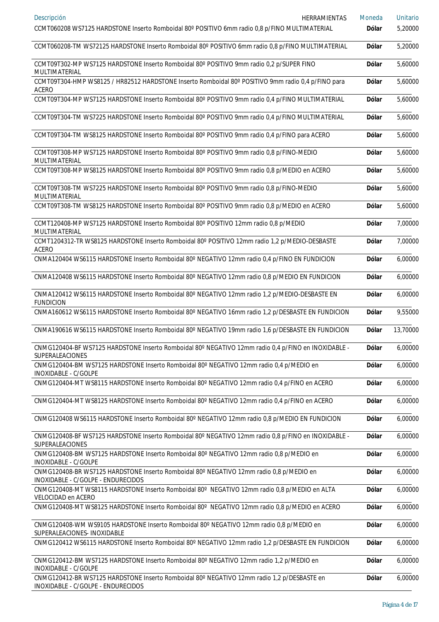| Descripción<br>HERRAMIENTAS<br>CCMT060208 WS7125 HARDSTONE Inserto Romboidal 80° POSITIVO 6mm radio 0,8 p/FINO MULTIMATERIAL     | Moneda<br><b>Dólar</b> | <b>Unitario</b><br>5,20000 |
|----------------------------------------------------------------------------------------------------------------------------------|------------------------|----------------------------|
| CCMT060208-TM WS72125 HARDSTONE Inserto Romboidal 80° POSITIVO 6mm radio 0,8 p/FINO MULTIMATERIAL                                | Dólar                  | 5,20000                    |
|                                                                                                                                  |                        |                            |
| CCMT09T302-MP WS7125 HARDSTONE Inserto Romboidal 80° POSITIVO 9mm radio 0,2 p/SUPER FINO<br>MULTIMATERIAL                        | <b>Dólar</b>           | 5,60000                    |
| CCMT09T304-HMP WS8125 / HR82512 HARDSTONE Inserto Romboidal 80° POSITIVO 9mm radio 0,4 p/FINO para<br><b>ACERO</b>               | Dólar                  | 5,60000                    |
| CCMT09T304-MP WS7125 HARDSTONE Inserto Romboidal 80° POSITIVO 9mm radio 0,4 p/FINO MULTIMATERIAL                                 | <b>Dólar</b>           | 5,60000                    |
| CCMT09T304-TM WS7225 HARDSTONE Inserto Romboidal 80° POSITIVO 9mm radio 0,4 p/FINO MULTIMATERIAL                                 | <b>Dólar</b>           | 5,60000                    |
| CCMT09T304-TM WS8125 HARDSTONE Inserto Romboidal 80° POSITIVO 9mm radio 0,4 p/FINO para ACERO                                    | <b>Dólar</b>           | 5,60000                    |
| CCMT09T308-MP WS7125 HARDSTONE Inserto Romboidal 80° POSITIVO 9mm radio 0,8 p/FINO-MEDIO<br>MULTIMATERIAL                        | <b>Dólar</b>           | 5,60000                    |
| CCMT09T308-MP WS8125 HARDSTONE Inserto Romboidal 80° POSITIVO 9mm radio 0,8 p/MEDIO en ACERO                                     | <b>Dólar</b>           | 5,60000                    |
| CCMT09T308-TM WS7225 HARDSTONE Inserto Romboidal 80° POSITIVO 9mm radio 0,8 p/FINO-MEDIO<br>MULTIMATERIAL                        | <b>Dólar</b>           | 5,60000                    |
| CCMT09T308-TM WS8125 HARDSTONE Inserto Romboidal 80° POSITIVO 9mm radio 0,8 p/MEDIO en ACERO                                     | <b>Dólar</b>           | 5,60000                    |
| CCMT120408-MP WS7125 HARDSTONE Inserto Romboidal 80° POSITIVO 12mm radio 0,8 p/MEDIO<br>MULTIMATERIAL                            | <b>Dólar</b>           | 7,00000                    |
| CCMT1204312-TR WS8125 HARDSTONE Inserto Romboidal 80° POSITIVO 12mm radio 1,2 p/MEDIO-DESBASTE<br><b>ACERO</b>                   | <b>Dólar</b>           | 7,00000                    |
| CNMA120404 WS6115 HARDSTONE Inserto Romboidal 80° NEGATIVO 12mm radio 0,4 p/FINO EN FUNDICION                                    | <b>Dólar</b>           | 6,00000                    |
| CNMA120408 WS6115 HARDSTONE Inserto Romboidal 80° NEGATIVO 12mm radio 0,8 p/MEDIO EN FUNDICION                                   | <b>Dólar</b>           | 6,00000                    |
| CNMA120412 WS6115 HARDSTONE Inserto Romboidal 80° NEGATIVO 12mm radio 1,2 p/MEDIO-DESBASTE EN<br><b>FUNDICION</b>                | <b>Dólar</b>           | 6,00000                    |
| CNMA160612 WS6115 HARDSTONE Inserto Romboidal 80° NEGATIVO 16mm radio 1,2 p/DESBASTE EN FUNDICION                                | <b>Dólar</b>           | 9,55000                    |
| CNMA190616 WS6115 HARDSTONE Inserto Romboidal 80° NEGATIVO 19mm radio 1,6 p/DESBASTE EN FUNDICION                                | <b>Dólar</b>           | 13,70000                   |
| CNMG120404-BF WS7125 HARDSTONE Inserto Romboidal 80° NEGATIVO 12mm radio 0,4 p/FINO en INOXIDABLE -<br>SUPERALEACIONES           | <b>Dólar</b>           | 6,00000                    |
| CNMG120404-BM WS7125 HARDSTONE Inserto Romboidal 80° NEGATIVO 12mm radio 0,4 p/MEDIO en<br>INOXIDABLE - C/GOLPE                  | <b>Dólar</b>           | 6,00000                    |
| CNMG120404-MT WS8115 HARDSTONE Inserto Romboidal 80° NEGATIVO 12mm radio 0,4 p/FINO en ACERO                                     | <b>Dólar</b>           | 6,00000                    |
| CNMG120404-MT WS8125 HARDSTONE Inserto Romboidal 80° NEGATIVO 12mm radio 0,4 p/FINO en ACERO                                     | <b>Dólar</b>           | 6,00000                    |
| CNMG120408 WS6115 HARDSTONE Inserto Romboidal 80° NEGATIVO 12mm radio 0,8 p/MEDIO EN FUNDICION                                   | Dólar                  | 6,00000                    |
| CNMG120408-BF WS7125 HARDSTONE Inserto Romboidal 80° NEGATIVO 12mm radio 0,8 p/FINO en INOXIDABLE -<br>SUPERALEACIONES           | Dólar                  | 6,00000                    |
| CNMG120408-BM WS7125 HARDSTONE Inserto Romboidal 80° NEGATIVO 12mm radio 0,8 p/MEDIO en<br>INOXIDABLE - C/GOLPE                  | <b>Dólar</b>           | 6,00000                    |
| CNMG120408-BR WS7125 HARDSTONE Inserto Romboidal 80° NEGATIVO 12mm radio 0,8 p/MEDIO en<br>INOXIDABLE - C/GOLPE - ENDURECIDOS    | <b>Dólar</b>           | 6,00000                    |
| CNMG120408-MT WS8115 HARDSTONE Inserto Romboidal 80° NEGATIVO 12mm radio 0,8 p/MEDIO en ALTA                                     | <b>Dólar</b>           | 6,00000                    |
| VELOCIDAD en ACERO<br>CNMG120408-MT WS8125 HARDSTONE Inserto Romboidal 80° NEGATIVO 12mm radio 0,8 p/MEDIO en ACERO              | <b>Dólar</b>           | 6,00000                    |
| CNMG120408-WM WS9105 HARDSTONE Inserto Romboidal 80° NEGATIVO 12mm radio 0,8 p/MEDIO en<br>SUPERALEACIONES- INOXIDABLE           | <b>Dólar</b>           | 6,00000                    |
| CNMG120412 WS6115 HARDSTONE Inserto Romboidal 80° NEGATIVO 12mm radio 1,2 p/DESBASTE EN FUNDICION                                | <b>Dólar</b>           | 6,00000                    |
| CNMG120412-BM WS7125 HARDSTONE Inserto Romboidal 80° NEGATIVO 12mm radio 1,2 p/MEDIO en<br>INOXIDABLE - C/GOLPE                  | <b>Dólar</b>           | 6,00000                    |
| CNMG120412-BR WS7125 HARDSTONE Inserto Romboidal 80° NEGATIVO 12mm radio 1,2 p/DESBASTE en<br>INOXIDABLE - C/GOLPE - ENDURECIDOS | Dólar                  | 6,00000                    |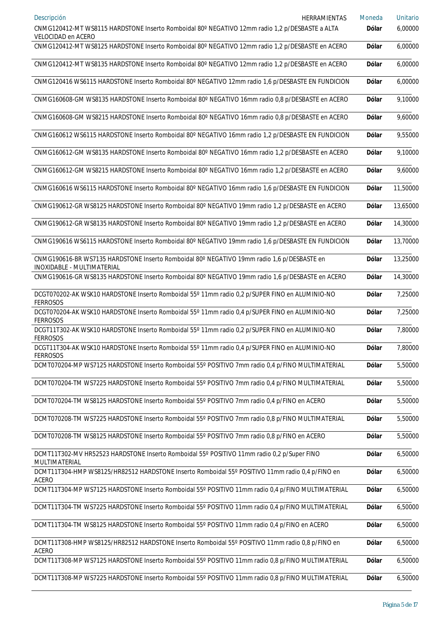| Descripción<br><b>HERRAMIENTAS</b>                                                                                       | Moneda       | <b>Unitario</b> |
|--------------------------------------------------------------------------------------------------------------------------|--------------|-----------------|
| CNMG120412-MT WS8115 HARDSTONE Inserto Romboidal 80° NEGATIVO 12mm radio 1,2 p/DESBASTE a ALTA<br>VELOCIDAD en ACERO     | Dólar        | 6,00000         |
| CNMG120412-MT WS8125 HARDSTONE Inserto Romboidal 80° NEGATIVO 12mm radio 1,2 p/DESBASTE en ACERO                         | <b>Dólar</b> | 6,00000         |
| CNMG120412-MT WS8135 HARDSTONE Inserto Romboidal 80° NEGATIVO 12mm radio 1,2 p/DESBASTE en ACERO                         | Dólar        | 6,00000         |
| CNMG120416 WS6115 HARDSTONE Inserto Romboidal 80° NEGATIVO 12mm radio 1,6 p/DESBASTE EN FUNDICION                        | Dólar        | 6,00000         |
| CNMG160608-GM WS8135 HARDSTONE Inserto Romboidal 80° NEGATIVO 16mm radio 0,8 p/DESBASTE en ACERO                         | Dólar        | 9,10000         |
| CNMG160608-GM WS8215 HARDSTONE Inserto Romboidal 80° NEGATIVO 16mm radio 0,8 p/DESBASTE en ACERO                         | Dólar        | 9,60000         |
| CNMG160612 WS6115 HARDSTONE Inserto Romboidal 80° NEGATIVO 16mm radio 1,2 p/DESBASTE EN FUNDICION                        | Dólar        | 9,55000         |
| CNMG160612-GM WS8135 HARDSTONE Inserto Romboidal 80° NEGATIVO 16mm radio 1,2 p/DESBASTE en ACERO                         | Dólar        | 9,10000         |
| CNMG160612-GM WS8215 HARDSTONE Inserto Romboidal 80° NEGATIVO 16mm radio 1,2 p/DESBASTE en ACERO                         | Dólar        | 9,60000         |
| CNMG160616 WS6115 HARDSTONE Inserto Romboidal 80° NEGATIVO 16mm radio 1,6 p/DESBASTE EN FUNDICION                        | Dólar        | 11,50000        |
| CNMG190612-GR WS8125 HARDSTONE Inserto Romboidal 80° NEGATIVO 19mm radio 1,2 p/DESBASTE en ACERO                         | Dólar        | 13,65000        |
| CNMG190612-GR WS8135 HARDSTONE Inserto Romboidal 80° NEGATIVO 19mm radio 1,2 p/DESBASTE en ACERO                         | Dólar        | 14,30000        |
| CNMG190616 WS6115 HARDSTONE Inserto Romboidal 80° NEGATIVO 19mm radio 1,6 p/DESBASTE EN FUNDICION                        | Dólar        | 13,70000        |
| CNMG190616-BR WS7135 HARDSTONE Inserto Romboidal 80° NEGATIVO 19mm radio 1,6 p/DESBASTE en<br>INOXIDABLE - MULTIMATERIAL | Dólar        | 13,25000        |
| CNMG190616-GR WS8135 HARDSTONE Inserto Romboidal 80° NEGATIVO 19mm radio 1,6 p/DESBASTE en ACERO                         | <b>Dólar</b> | 14,30000        |
| DCGT070202-AK WSK10 HARDSTONE Inserto Romboidal 55° 11mm radio 0,2 p/SUPER FINO en ALUMINIO-NO<br><b>FERROSOS</b>        | <b>Dólar</b> | 7,25000         |
| DCGT070204-AK WSK10 HARDSTONE Inserto Romboidal 55° 11mm radio 0,4 p/SUPER FINO en ALUMINIO-NO<br><b>FERROSOS</b>        | Dólar        | 7,25000         |
| DCGT11T302-AK WSK10 HARDSTONE Inserto Romboidal 55° 11mm radio 0,2 p/SUPER FINO en ALUMINIO-NO<br><b>FERROSOS</b>        | Dólar        | 7,80000         |
| DCGT11T304-AK WSK10 HARDSTONE Inserto Romboidal 55° 11mm radio 0,4 p/SUPER FINO en ALUMINIO-NO<br><b>FERROSOS</b>        | <b>Dólar</b> | 7,80000         |
| DCMT070204-MP WS7125 HARDSTONE Inserto Romboidal 55° POSITIVO 7mm radio 0,4 p/FINO MULTIMATERIAL                         | Dólar        | 5,50000         |
| DCMT070204-TM WS7225 HARDSTONE Inserto Romboidal 55° POSITIVO 7mm radio 0,4 p/FINO MULTIMATERIAL                         | Dólar        | 5,50000         |
| DCMT070204-TM WS8125 HARDSTONE Inserto Romboidal 55° POSITIVO 7mm radio 0,4 p/FINO en ACERO                              | Dólar        | 5,50000         |
| DCMT070208-TM WS7225 HARDSTONE Inserto Romboidal 55° POSITIVO 7mm radio 0,8 p/FINO MULTIMATERIAL                         | Dólar        | 5,50000         |
| DCMT070208-TM WS8125 HARDSTONE Inserto Romboidal 55° POSITIVO 7mm radio 0,8 p/FINO en ACERO                              | <b>Dólar</b> | 5,50000         |
| DCMT11T302-MV HR52523 HARDSTONE Inserto Romboidal 55° POSITIVO 11mm radio 0,2 p/Super FINO<br>MULTIMATERIAL              | Dólar        | 6,50000         |
| DCMT11T304-HMP WS8125/HR82512 HARDSTONE Inserto Romboidal 55° POSITIVO 11mm radio 0,4 p/FINO en<br><b>ACERO</b>          | <b>Dólar</b> | 6,50000         |
| DCMT11T304-MP WS7125 HARDSTONE Inserto Romboidal 55° POSITIVO 11mm radio 0,4 p/FINO MULTIMATERIAL                        | Dólar        | 6,50000         |
| DCMT11T304-TM WS7225 HARDSTONE Inserto Romboidal 55° POSITIVO 11mm radio 0,4 p/FINO MULTIMATERIAL                        | <b>Dólar</b> | 6,50000         |
| DCMT11T304-TM WS8125 HARDSTONE Inserto Romboidal 55° POSITIVO 11mm radio 0,4 p/FINO en ACERO                             | Dólar        | 6,50000         |
| DCMT11T308-HMP WS8125/HR82512 HARDSTONE Inserto Romboidal 55° POSITIVO 11mm radio 0,8 p/FINO en<br><b>ACERO</b>          | <b>Dólar</b> | 6,50000         |
| DCMT11T308-MP WS7125 HARDSTONE Inserto Romboidal 55° POSITIVO 11mm radio 0,8 p/FINO MULTIMATERIAL                        | <b>Dólar</b> | 6,50000         |
| DCMT11T308-MP WS7225 HARDSTONE Inserto Romboidal 55° POSITIVO 11mm radio 0,8 p/FINO MULTIMATERIAL                        | <b>Dólar</b> | 6,50000         |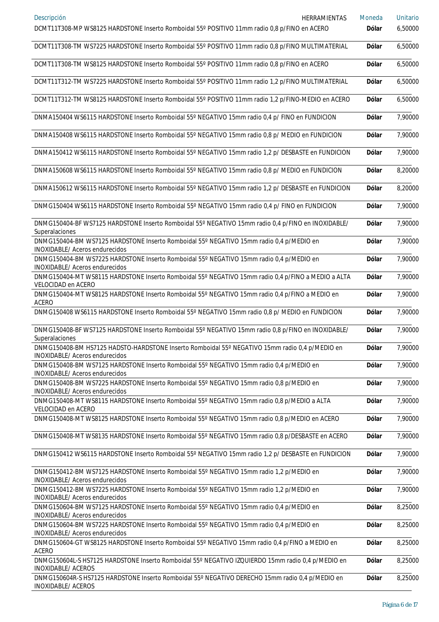| Descripción<br>HERRAMIENTAS<br>DCMT11T308-MP WS8125 HARDSTONE Inserto Romboidal 55° POSITIVO 11mm radio 0,8 p/FINO en ACERO             | Moneda<br>Dólar | <b>Unitario</b><br>6,50000 |
|-----------------------------------------------------------------------------------------------------------------------------------------|-----------------|----------------------------|
| DCMT11T308-TM WS7225 HARDSTONE Inserto Romboidal 55° POSITIVO 11mm radio 0,8 p/FINO MULTIMATERIAL                                       | Dólar           | 6,50000                    |
| DCMT11T308-TM WS8125 HARDSTONE Inserto Romboidal 55° POSITIVO 11mm radio 0,8 p/FINO en ACERO                                            | Dólar           | 6,50000                    |
| DCMT11T312-TM WS7225 HARDSTONE Inserto Romboidal 55° POSITIVO 11mm radio 1,2 p/FINO MULTIMATERIAL                                       | Dólar           | 6,50000                    |
| DCMT11T312-TM WS8125 HARDSTONE Inserto Romboidal 55° POSITIVO 11mm radio 1,2 p/FINO-MEDIO en ACERO                                      | <b>Dólar</b>    | 6,50000                    |
| DNMA150404 WS6115 HARDSTONE Inserto Romboidal 55° NEGATIVO 15mm radio 0,4 p/ FINO en FUNDICION                                          | <b>Dólar</b>    | 7,90000                    |
| DNMA150408 WS6115 HARDSTONE Inserto Romboidal 55° NEGATIVO 15mm radio 0,8 p/ MEDIO en FUNDICION                                         | <b>Dólar</b>    | 7,90000                    |
| DNMA150412 WS6115 HARDSTONE Inserto Romboidal 55° NEGATIVO 15mm radio 1,2 p/ DESBASTE en FUNDICION                                      | Dólar           | 7,90000                    |
| DNMA150608 WS6115 HARDSTONE Inserto Romboidal 55° NEGATIVO 15mm radio 0,8 p/ MEDIO en FUNDICION                                         | <b>Dólar</b>    | 8,20000                    |
| DNMA150612 WS6115 HARDSTONE Inserto Romboidal 55° NEGATIVO 15mm radio 1,2 p/ DESBASTE en FUNDICION                                      | Dólar           | 8,20000                    |
| DNMG150404 WS6115 HARDSTONE Inserto Romboidal 55° NEGATIVO 15mm radio 0,4 p/ FINO en FUNDICION                                          | <b>Dólar</b>    | 7,90000                    |
| DNMG150404-BF WS7125 HARDSTONE Inserto Romboidal 55° NEGATIVO 15mm radio 0,4 p/FINO en INOXIDABLE/<br>Superalaciones                    | Dólar           | 7,90000                    |
| DNMG150404-BM WS7125 HARDSTONE Inserto Romboidal 55° NEGATIVO 15mm radio 0,4 p/MEDIO en<br>INOXIDABLE/ Aceros endurecidos               | Dólar           | 7,90000                    |
| DNMG150404-BM WS7225 HARDSTONE Inserto Romboidal 55° NEGATIVO 15mm radio 0,4 p/MEDIO en<br>INOXIDABLE/ Aceros endurecidos               | Dólar           | 7,90000                    |
| DNMG150404-MT WS8115 HARDSTONE Inserto Romboidal 55° NEGATIVO 15mm radio 0,4 p/FINO a MEDIO a ALTA<br>VELOCIDAD en ACERO                | Dólar           | 7,90000                    |
| DNMG150404-MT WS8125 HARDSTONE Inserto Romboidal 55° NEGATIVO 15mm radio 0,4 p/FINO a MEDIO en<br><b>ACERO</b>                          | Dólar           | 7,90000                    |
| DNMG150408 WS6115 HARDSTONE Inserto Romboidal 55° NEGATIVO 15mm radio 0,8 p/ MEDIO en FUNDICION                                         | Dólar           | 7,90000                    |
| DNMG150408-BF WS7125 HARDSTONE Inserto Romboidal 55° NEGATIVO 15mm radio 0,8 p/FINO en INOXIDABLE/<br>Superalaciones                    | Dólar           | 7,90000                    |
| DNMG150408-BM HS7125 HADSTO-HARDSTONE Inserto Romboidal 55° NEGATIVO 15mm radio 0,4 p/MEDIO en<br><b>INOXIDABLE/ Aceros endurecidos</b> | <b>Dólar</b>    | 7,90000                    |
| DNMG150408-BM WS7125 HARDSTONE Inserto Romboidal 55° NEGATIVO 15mm radio 0,4 p/MEDIO en<br>INOXIDABLE/ Aceros endurecidos               | <b>Dólar</b>    | 7,90000                    |
| DNMG150408-BM WS7225 HARDSTONE Inserto Romboidal 55° NEGATIVO 15mm radio 0,8 p/MEDIO en<br>INOXIDABLE/ Aceros endurecidos               | <b>Dólar</b>    | 7,90000                    |
| DNMG150408-MT WS8115 HARDSTONE Inserto Romboidal 55° NEGATIVO 15mm radio 0,8 p/MEDIO a ALTA<br>VELOCIDAD en ACERO                       | <b>Dólar</b>    | 7,90000                    |
| DNMG150408-MT WS8125 HARDSTONE Inserto Romboidal 55° NEGATIVO 15mm radio 0,8 p/MEDIO en ACERO                                           | Dólar           | 7,90000                    |
| DNMG150408-MT WS8135 HARDSTONE Inserto Romboidal 55° NEGATIVO 15mm radio 0,8 p/DESBASTE en ACERO                                        | Dólar           | 7,90000                    |
| DNMG150412 WS6115 HARDSTONE Inserto Romboidal 55° NEGATIVO 15mm radio 1,2 p/ DESBASTE en FUNDICION                                      | <b>Dólar</b>    | 7,90000                    |
| DNMG150412-BM WS7125 HARDSTONE Inserto Romboidal 55° NEGATIVO 15mm radio 1,2 p/MEDIO en<br>INOXIDABLE/ Aceros endurecidos               | <b>Dólar</b>    | 7,90000                    |
| DNMG150412-BM WS7225 HARDSTONE Inserto Romboidal 55° NEGATIVO 15mm radio 1,2 p/MEDIO en<br>INOXIDABLE/ Aceros endurecidos               | <b>Dólar</b>    | 7,90000                    |
| DNMG150604-BM WS7125 HARDSTONE Inserto Romboidal 55° NEGATIVO 15mm radio 0,4 p/MEDIO en<br>INOXIDABLE/ Aceros endurecidos               | <b>Dólar</b>    | 8,25000                    |
| DNMG150604-BM WS7225 HARDSTONE Inserto Romboidal 55° NEGATIVO 15mm radio 0,4 p/MEDIO en<br>INOXIDABLE/ Aceros endurecidos               | <b>Dólar</b>    | 8,25000                    |
| DNMG150604-GT WS8125 HARDSTONE Inserto Romboidal 55° NEGATIVO 15mm radio 0,4 p/FINO a MEDIO en<br><b>ACERO</b>                          | Dólar           | 8,25000                    |
| DNMG150604L-S HS7125 HARDSTONE Inserto Romboidal 55° NEGATIVO IZQUIERDO 15mm radio 0,4 p/MEDIO en<br>INOXIDABLE/ ACEROS                 | Dólar           | 8,25000                    |
| DNMG150604R-S HS7125 HARDSTONE Inserto Romboidal 55° NEGATIVO DERECHO 15mm radio 0,4 p/MEDIO en<br>INOXIDABLE/ ACEROS                   | <b>Dólar</b>    | 8,25000                    |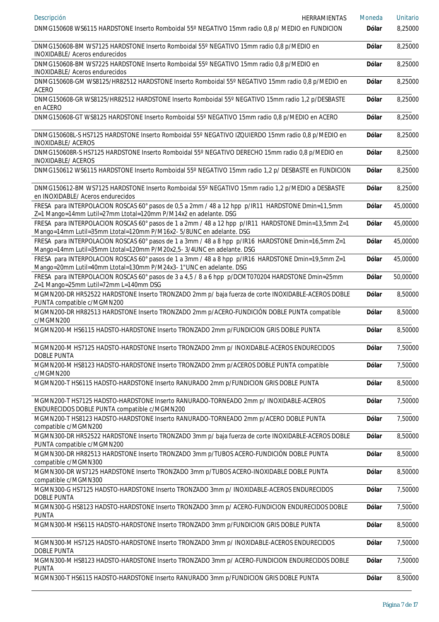| Descripción<br><b>HERRAMIENTAS</b>                                                                                                                                         | Moneda       | <b>Unitario</b> |
|----------------------------------------------------------------------------------------------------------------------------------------------------------------------------|--------------|-----------------|
| DNMG150608 WS6115 HARDSTONE Inserto Romboidal 55° NEGATIVO 15mm radio 0,8 p/ MEDIO en FUNDICION                                                                            | <b>Dólar</b> | 8,25000         |
| DNMG150608-BM WS7125 HARDSTONE Inserto Romboidal 55° NEGATIVO 15mm radio 0,8 p/MEDIO en<br>INOXIDABLE/ Aceros endurecidos                                                  | <b>Dólar</b> | 8,25000         |
| DNMG150608-BM WS7225 HARDSTONE Inserto Romboidal 55° NEGATIVO 15mm radio 0,8 p/MEDIO en<br>INOXIDABLE/ Aceros endurecidos                                                  | Dólar        | 8,25000         |
| DNMG150608-GM WS8125/HR82512 HARDSTONE Inserto Romboidal 55° NEGATIVO 15mm radio 0,8 p/MEDIO en<br><b>ACERO</b>                                                            | Dólar        | 8,25000         |
| DNMG150608-GR WS8125/HR82512 HARDSTONE Inserto Romboidal 55° NEGATIVO 15mm radio 1,2 p/DESBASTE<br>en ACERO                                                                | Dólar        | 8,25000         |
| DNMG150608-GT WS8125 HARDSTONE Inserto Romboidal 55° NEGATIVO 15mm radio 0,8 p/MEDIO en ACERO                                                                              | Dólar        | 8,25000         |
| DNMG150608L-S HS7125 HARDSTONE Inserto Romboidal 55° NEGATIVO IZQUIERDO 15mm radio 0,8 p/MEDIO en<br>INOXIDABLE/ ACEROS                                                    | Dólar        | 8,25000         |
| DNMG150608R-S HS7125 HARDSTONE Inserto Romboidal 55° NEGATIVO DERECHO 15mm radio 0,8 p/MEDIO en<br>INOXIDABLE/ ACEROS                                                      | Dólar        | 8,25000         |
| DNMG150612 WS6115 HARDSTONE Inserto Romboidal 55° NEGATIVO 15mm radio 1,2 p/ DESBASTE en FUNDICION                                                                         | Dólar        | 8,25000         |
| DNMG150612-BM WS7125 HARDSTONE Inserto Romboidal 55° NEGATIVO 15mm radio 1,2 p/MEDIO a DESBASTE<br>en INOXIDABLE/ Aceros endurecidos                                       | Dólar        | 8,25000         |
| FRESA para INTERPOLACION ROSCAS 60° pasos de 0,5 a 2mm / 48 a 12 hpp p/IR11 HARDSTONE Dmin=11,5mm<br>Z=1 Mango=14mm Lutil=27mm Ltotal=120mm P/M14x2 en adelante. DSG       | Dólar        | 45,00000        |
| FRESA para INTERPOLACION ROSCAS 60° pasos de 1 a 2mm / 48 a 12 hpp p/IR11 HARDSTONE Dmin=13,5mm Z=1<br>Mango=14mm Lutil=35mm Ltotal=120mm P/M16x2- 5/8UNC en adelante. DSG | Dólar        | 45,00000        |
| FRESA para INTERPOLACION ROSCAS 60° pasos de 1 a 3mm / 48 a 8 hpp p/IR16 HARDSTONE Dmin=16,5mm Z=1<br>Mango=14mm Lutil=35mm Ltotal=120mm P/M20x2,5-3/4UNC en adelante. DSG | Dólar        | 45,00000        |
| FRESA para INTERPOLACION ROSCAS 60° pasos de 1 a 3mm / 48 a 8 hpp p/IR16 HARDSTONE Dmin=19,5mm Z=1<br>Mango=20mm Lutil=40mm Ltotal=130mm P/M24x3-1"UNC en adelante. DSG    | Dólar        | 45,00000        |
| FRESA para INTERPOLACION ROSCAS 60° pasos de 3 a 4,5 / 8 a 6 hpp p/DCMT070204 HARDSTONE Dmin=25mm<br>Z=1 Mango=25mm Lutil=72mm L=140mm DSG                                 | Dólar        | 50,00000        |
| MGMN200-DR HR52522 HARDSTONE Inserto TRONZADO 2mm p/ baja fuerza de corte INOXIDABLE-ACEROS DOBLE<br>PUNTA compatible c/MGMN200                                            | Dólar        | 8,50000         |
| MGMN200-DR HR82513 HARDSTONE Inserto TRONZADO 2mm p/ACERO-FUNDICIÓN DOBLE PUNTA compatible<br>c/MGMN200                                                                    | Dólar        | 8,50000         |
| MGMN200-M HS6115 HADSTO-HARDSTONE Inserto TRONZADO 2mm p/FUNDICION GRIS DOBLE PUNTA                                                                                        | Dólar        | 8,50000         |
| MGMN200-M HS7125 HADSTO-HARDSTONE Inserto TRONZADO 2mm p/ INOXIDABLE-ACEROS ENDURECIDOS<br><b>DOBLE PUNTA</b>                                                              | Dólar        | 7,50000         |
| MGMN200-M HS8123 HADSTO-HARDSTONE Inserto TRONZADO 2mm p/ACEROS DOBLE PUNTA compatible<br>c/MGMN200                                                                        | Dólar        | 7,50000         |
| MGMN200-T HS6115 HADSTO-HARDSTONE Inserto RANURADO 2mm p/FUNDICION GRIS DOBLE PUNTA                                                                                        | Dólar        | 8,50000         |
| MGMN200-T HS7125 HADSTO-HARDSTONE Inserto RANURADO-TORNEADO 2mm p/ INOXIDABLE-ACEROS<br>ENDURECIDOS DOBLE PUNTA compatible c/MGMN200                                       | Dólar        | 7,50000         |
| MGMN200-T HS8123 HADSTO-HARDSTONE Inserto RANURADO-TORNEADO 2mm p/ACERO DOBLE PUNTA<br>compatible c/MGMN200                                                                | Dólar        | 7,50000         |
| MGMN300-DR HR52522 HARDSTONE Inserto TRONZADO 3mm p/ baja fuerza de corte INOXIDABLE-ACEROS DOBLE<br>PUNTA compatible c/MGMN200                                            | Dólar        | 8,50000         |
| MGMN300-DR HR82513 HARDSTONE Inserto TRONZADO 3mm p/TUBOS ACERO-FUNDICIÓN DOBLE PUNTA<br>compatible c/MGMN300                                                              | Dólar        | 8,50000         |
| MGMN300-DR WS7125 HARDSTONE Inserto TRONZADO 3mm p/TUBOS ACERO-INOXIDABLE DOBLE PUNTA<br>compatible c/MGMN300                                                              | Dólar        | 8,50000         |
| MGMN300-G HS7125 HADSTO-HARDSTONE Inserto TRONZADO 3mm p/ INOXIDABLE-ACEROS ENDURECIDOS<br>DOBLE PUNTA                                                                     | Dólar        | 7,50000         |
| MGMN300-G HS8123 HADSTO-HARDSTONE Inserto TRONZADO 3mm p/ ACERO-FUNDICION ENDURECIDOS DOBLE<br><b>PUNTA</b>                                                                | Dólar        | 7,50000         |
| MGMN300-M HS6115 HADSTO-HARDSTONE Inserto TRONZADO 3mm p/FUNDICION GRIS DOBLE PUNTA                                                                                        | Dólar        | 8,50000         |
| MGMN300-M HS7125 HADSTO-HARDSTONE Inserto TRONZADO 3mm p/ INOXIDABLE-ACEROS ENDURECIDOS<br><b>DOBLE PUNTA</b>                                                              | <b>Dólar</b> | 7,50000         |
| MGMN300-M HS8123 HADSTO-HARDSTONE Inserto TRONZADO 3mm p/ ACERO-FUNDICION ENDURECIDOS DOBLE<br><b>PUNTA</b>                                                                | <b>Dólar</b> | 7,50000         |
| MGMN300-T HS6115 HADSTO-HARDSTONE Inserto RANURADO 3mm p/FUNDICION GRIS DOBLE PUNTA                                                                                        | <b>Dólar</b> | 8,50000         |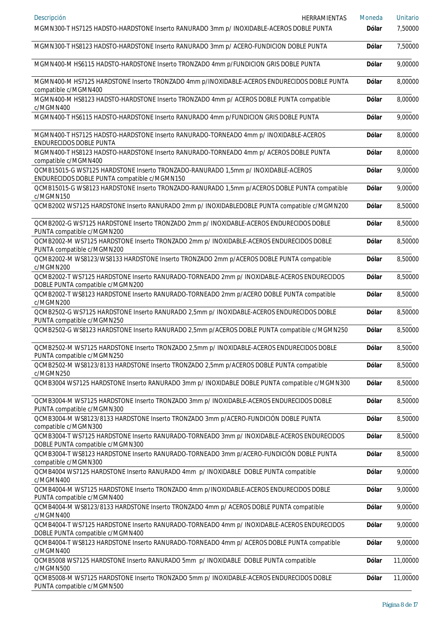| Descripción<br>HERRAMIENTAS                                                                                                       | Moneda       | <b>Unitario</b> |
|-----------------------------------------------------------------------------------------------------------------------------------|--------------|-----------------|
| MGMN300-T HS7125 HADSTO-HARDSTONE Inserto RANURADO 3mm p/ INOXIDABLE-ACEROS DOBLE PUNTA                                           | <b>Dólar</b> | 7,50000         |
| MGMN300-T HS8123 HADSTO-HARDSTONE Inserto RANURADO 3mm p/ ACERO-FUNDICION DOBLE PUNTA                                             | <b>Dólar</b> | 7,50000         |
| MGMN400-M HS6115 HADSTO-HARDSTONE Inserto TRONZADO 4mm p/FUNDICION GRIS DOBLE PUNTA                                               | <b>Dólar</b> | 9,00000         |
| MGMN400-M HS7125 HARDSTONE Inserto TRONZADO 4mm p/INOXIDABLE-ACEROS ENDURECIDOS DOBLE PUNTA<br>compatible c/MGMN400               | Dólar        | 8,00000         |
| MGMN400-M HS8123 HADSTO-HARDSTONE Inserto TRONZADO 4mm p/ ACEROS DOBLE PUNTA compatible<br>c/MGMN400                              | <b>Dólar</b> | 8,00000         |
| MGMN400-T HS6115 HADSTO-HARDSTONE Inserto RANURADO 4mm p/FUNDICION GRIS DOBLE PUNTA                                               | <b>Dólar</b> | 9,00000         |
| MGMN400-T HS7125 HADSTO-HARDSTONE Inserto RANURADO-TORNEADO 4mm p/ INOXIDABLE-ACEROS<br>ENDURECIDOS DOBLE PUNTA                   | Dólar        | 8,00000         |
| MGMN400-T HS8123 HADSTO-HARDSTONE Inserto RANURADO-TORNEADO 4mm p/ ACEROS DOBLE PUNTA<br>compatible c/MGMN400                     | Dólar        | 8,00000         |
| QCMB15015-G WS7125 HARDSTONE Inserto TRONZADO-RANURADO 1,5mm p/ INOXIDABLE-ACEROS<br>ENDURECIDOS DOBLE PUNTA compatible c/MGMN150 | Dólar        | 9,00000         |
| QCMB15015-G WS8123 HARDSTONE Inserto TRONZADO-RANURADO 1,5mm p/ACEROS DOBLE PUNTA compatible<br>c/MGMN150                         | Dólar        | 9,00000         |
| QCMB2002 WS7125 HARDSTONE Inserto RANURADO 2mm p/ INOXIDABLEDOBLE PUNTA compatible c/MGMN200                                      | Dólar        | 8,50000         |
| QCMB2002-G WS7125 HARDSTONE Inserto TRONZADO 2mm p/ INOXIDABLE-ACEROS ENDURECIDOS DOBLE<br>PUNTA compatible c/MGMN200             | Dólar        | 8,50000         |
| QCMB2002-M WS7125 HARDSTONE Inserto TRONZADO 2mm p/ INOXIDABLE-ACEROS ENDURECIDOS DOBLE<br>PUNTA compatible c/MGMN200             | <b>Dólar</b> | 8,50000         |
| QCMB2002-M WS8123/WS8133 HARDSTONE Inserto TRONZADO 2mm p/ACEROS DOBLE PUNTA compatible<br>c/MGMN200                              | Dólar        | 8,50000         |
| QCMB2002-T WS7125 HARDSTONE Inserto RANURADO-TORNEADO 2mm p/ INOXIDABLE-ACEROS ENDURECIDOS<br>DOBLE PUNTA compatible c/MGMN200    | <b>Dólar</b> | 8,50000         |
| QCMB2002-T WS8123 HARDSTONE Inserto RANURADO-TORNEADO 2mm p/ACERO DOBLE PUNTA compatible<br>c/MGMN200                             | Dólar        | 8,50000         |
| QCMB2502-G WS7125 HARDSTONE Inserto RANURADO 2,5mm p/ INOXIDABLE-ACEROS ENDURECIDOS DOBLE<br>PUNTA compatible c/MGMN250           | <b>Dólar</b> | 8,50000         |
| QCMB2502-G WS8123 HARDSTONE Inserto RANURADO 2,5mm p/ACEROS DOBLE PUNTA compatible c/MGMN250                                      | Dólar        | 8,50000         |
| QCMB2502-M WS7125 HARDSTONE Inserto TRONZADO 2,5mm p/ INOXIDABLE-ACEROS ENDURECIDOS DOBLE<br>PUNTA compatible c/MGMN250           | <b>Dólar</b> | 8,50000         |
| QCMB2502-M WS8123/8133 HARDSTONE Inserto TRONZADO 2,5mm p/ACEROS DOBLE PUNTA compatible<br>c/MGMN250                              | <b>Dólar</b> | 8,50000         |
| QCMB3004 WS7125 HARDSTONE Inserto RANURADO 3mm p/ INOXIDABLE DOBLE PUNTA compatible c/MGMN300                                     | <b>Dólar</b> | 8,50000         |
| QCMB3004-M WS7125 HARDSTONE Inserto TRONZADO 3mm p/ INOXIDABLE-ACEROS ENDURECIDOS DOBLE<br>PUNTA compatible c/MGMN300             | <b>Dólar</b> | 8,50000         |
| QCMB3004-M WS8123/8133 HARDSTONE Inserto TRONZADO 3mm p/ACERO-FUNDICIÓN DOBLE PUNTA<br>compatible c/MGMN300                       | <b>Dólar</b> | 8,50000         |
| QCMB3004-T WS7125 HARDSTONE Inserto RANURADO-TORNEADO 3mm p/ INOXIDABLE-ACEROS ENDURECIDOS<br>DOBLE PUNTA compatible c/MGMN300    | <b>Dólar</b> | 8,50000         |
| QCMB3004-T WS8123 HARDSTONE Inserto RANURADO-TORNEADO 3mm p/ACERO-FUNDICIÓN DOBLE PUNTA<br>compatible c/MGMN300                   | <b>Dólar</b> | 8,50000         |
| QCMB4004 WS7125 HARDSTONE Inserto RANURADO 4mm p/ INOXIDABLE DOBLE PUNTA compatible<br>c/MGMN400                                  | <b>Dólar</b> | 9,00000         |
| QCMB4004-M WS7125 HARDSTONE Inserto TRONZADO 4mm p/INOXIDABLE-ACEROS ENDURECIDOS DOBLE<br>PUNTA compatible c/MGMN400              | <b>Dólar</b> | 9,00000         |
| QCMB4004-M WS8123/8133 HARDSTONE Inserto TRONZADO 4mm p/ ACEROS DOBLE PUNTA compatible<br>c/MGMN400                               | <b>Dólar</b> | 9,00000         |
| QCMB4004-T WS7125 HARDSTONE Inserto RANURADO-TORNEADO 4mm p/ INOXIDABLE-ACEROS ENDURECIDOS<br>DOBLE PUNTA compatible c/MGMN400    | <b>Dólar</b> | 9,00000         |
| QCMB4004-T WS8123 HARDSTONE Inserto RANURADO-TORNEADO 4mm p/ ACEROS DOBLE PUNTA compatible<br>c/MGMN400                           | <b>Dólar</b> | 9,00000         |
| QCMB5008 WS7125 HARDSTONE Inserto RANURADO 5mm p/ INOXIDABLE DOBLE PUNTA compatible<br>c/MGMN500                                  | <b>Dólar</b> | 11,00000        |
| QCMB5008-M WS7125 HARDSTONE Inserto TRONZADO 5mm p/ INOXIDABLE-ACEROS ENDURECIDOS DOBLE<br>PUNTA compatible c/MGMN500             | <b>Dólar</b> | 11,00000        |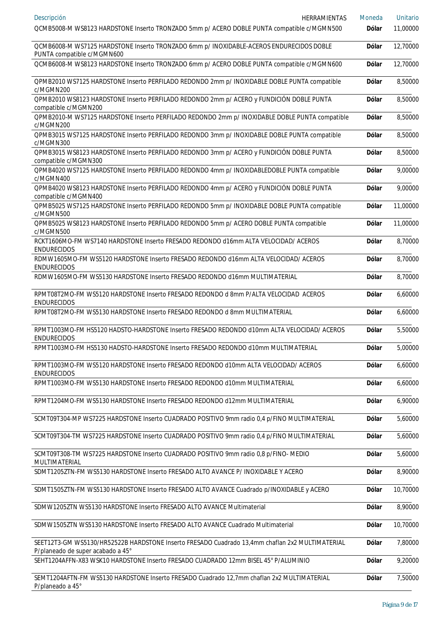| Descripción<br><b>HERRAMIENTAS</b>                                                                                                   | Moneda       | Unitario |
|--------------------------------------------------------------------------------------------------------------------------------------|--------------|----------|
| QCMB5008-M WS8123 HARDSTONE Inserto TRONZADO 5mm p/ ACERO DOBLE PUNTA compatible c/MGMN500                                           | Dólar        | 11,00000 |
| QCMB6008-M WS7125 HARDSTONE Inserto TRONZADO 6mm p/ INOXIDABLE-ACEROS ENDURECIDOS DOBLE<br>PUNTA compatible c/MGMN600                | <b>Dólar</b> | 12,70000 |
| QCMB6008-M WS8123 HARDSTONE Inserto TRONZADO 6mm p/ ACERO DOBLE PUNTA compatible c/MGMN600                                           | Dólar        | 12,70000 |
| QPMB2010 WS7125 HARDSTONE Inserto PERFILADO REDONDO 2mm p/ INOXIDABLE DOBLE PUNTA compatible<br>c/MGMN200                            | <b>Dólar</b> | 8,50000  |
| QPMB2010 WS8123 HARDSTONE Inserto PERFILADO REDONDO 2mm p/ ACERO y FUNDICIÓN DOBLE PUNTA<br>compatible c/MGMN200                     | <b>Dólar</b> | 8,50000  |
| QPMB2010-M WS7125 HARDSTONE Inserto PERFILADO REDONDO 2mm p/ INOXIDABLE DOBLE PUNTA compatible<br>c/MGMN200                          | <b>Dólar</b> | 8,50000  |
| QPMB3015 WS7125 HARDSTONE Inserto PERFILADO REDONDO 3mm p/ INOXIDABLE DOBLE PUNTA compatible<br>c/MGMN300                            | <b>Dólar</b> | 8,50000  |
| QPMB3015 WS8123 HARDSTONE Inserto PERFILADO REDONDO 3mm p/ ACERO y FUNDICIÓN DOBLE PUNTA<br>compatible c/MGMN300                     | <b>Dólar</b> | 8,50000  |
| QPMB4020 WS7125 HARDSTONE Inserto PERFILADO REDONDO 4mm p/ INOXIDABLEDOBLE PUNTA compatible<br>c/MGMN400                             | <b>Dólar</b> | 9,00000  |
| QPMB4020 WS8123 HARDSTONE Inserto PERFILADO REDONDO 4mm p/ ACERO y FUNDICIÓN DOBLE PUNTA<br>compatible c/MGMN400                     | <b>Dólar</b> | 9,00000  |
| QPMB5025 WS7125 HARDSTONE Inserto PERFILADO REDONDO 5mm p/ INOXIDABLE DOBLE PUNTA compatible<br>c/MGMN500                            | <b>Dólar</b> | 11,00000 |
| QPMB5025 WS8123 HARDSTONE Inserto PERFILADO REDONDO 5mm p/ ACERO DOBLE PUNTA compatible<br>c/MGMN500                                 | <b>Dólar</b> | 11,00000 |
| RCKT1606MO-FM WS7140 HARDSTONE Inserto FRESADO REDONDO d16mm ALTA VELOCIDAD/ ACEROS<br><b>ENDURECIDOS</b>                            | <b>Dólar</b> | 8,70000  |
| RDMW1605MO-FM WS5120 HARDSTONE Inserto FRESADO REDONDO d16mm ALTA VELOCIDAD/ ACEROS<br><b>ENDURECIDOS</b>                            | <b>Dólar</b> | 8,70000  |
| RDMW1605MO-FM WS5130 HARDSTONE Inserto FRESADO REDONDO d16mm MULTIMATERIAL                                                           | <b>Dólar</b> | 8,70000  |
| RPMT08T2MO-FM WS5120 HARDSTONE Inserto FRESADO REDONDO d 8mm P/ALTA VELOCIDAD ACEROS<br><b>ENDURECIDOS</b>                           | <b>Dólar</b> | 6,60000  |
| RPMT08T2MO-FM WS5130 HARDSTONE Inserto FRESADO REDONDO d 8mm MULTIMATERIAL                                                           | <b>Dólar</b> | 6,60000  |
| RPMT1003MO-FM HS5120 HADSTO-HARDSTONE Inserto FRESADO REDONDO d10mm ALTA VELOCIDAD/ ACEROS<br><b>ENDURECIDOS</b>                     | <b>Dólar</b> | 5,50000  |
| RPMT1003MO-FM HS5130 HADSTO-HARDSTONE Inserto FRESADO REDONDO d10mm MULTIMATERIAL                                                    | Dólar        | 5,00000  |
| RPMT1003MO-FM WS5120 HARDSTONE Inserto FRESADO REDONDO d10mm ALTA VELOCIDAD/ ACEROS<br><b>ENDURECIDOS</b>                            | <b>Dólar</b> | 6,60000  |
| RPMT1003MO-FM WS5130 HARDSTONE Inserto FRESADO REDONDO d10mm MULTIMATERIAL                                                           | <b>Dólar</b> | 6,60000  |
| RPMT1204MO-FM WS5130 HARDSTONE Inserto FRESADO REDONDO d12mm MULTIMATERIAL                                                           | <b>Dólar</b> | 6,90000  |
| SCMT09T304-MP WS7225 HARDSTONE Inserto CUADRADO POSITIVO 9mm radio 0,4 p/FINO MULTIMATERIAL                                          | <b>Dólar</b> | 5,60000  |
| SCMT09T304-TM WS7225 HARDSTONE Inserto CUADRADO POSITIVO 9mm radio 0,4 p/FINO MULTIMATERIAL                                          | <b>Dólar</b> | 5,60000  |
| SCMT09T308-TM WS7225 HARDSTONE Inserto CUADRADO POSITIVO 9mm radio 0,8 p/FINO- MEDIO<br>MULTIMATERIAL                                | <b>Dólar</b> | 5,60000  |
| SDMT1205ZTN-FM WS5130 HARDSTONE Inserto FRESADO ALTO AVANCE P/ INOXIDABLE Y ACERO                                                    | <b>Dólar</b> | 8,90000  |
| SDMT1505ZTN-FM WS5130 HARDSTONE Inserto FRESADO ALTO AVANCE Cuadrado p/INOXIDABLE y ACERO                                            | <b>Dólar</b> | 10,70000 |
| SDMW1205ZTN WS5130 HARDSTONE Inserto FRESADO ALTO AVANCE Multimaterial                                                               | <b>Dólar</b> | 8,90000  |
| SDMW1505ZTN WS5130 HARDSTONE Inserto FRESADO ALTO AVANCE Cuadrado Multimaterial                                                      | <b>Dólar</b> | 10,70000 |
| SEET12T3-GM WS5130/HR52522B HARDSTONE Inserto FRESADO Cuadrado 13,4mm chaflan 2x2 MULTIMATERIAL<br>P/planeado de super acabado a 45° | <b>Dólar</b> | 7,80000  |
| SEHT1204AFFN-X83 WSK10 HARDSTONE Inserto FRESADO CUADRADO 12mm BISEL 45° P/ALUMINIO                                                  | <b>Dólar</b> | 9,20000  |
| SEMT1204AFTN-FM WS5130 HARDSTONE Inserto FRESADO Cuadrado 12,7mm chaflan 2x2 MULTIMATERIAL<br>P/planeado a 45°                       | <b>Dólar</b> | 7,50000  |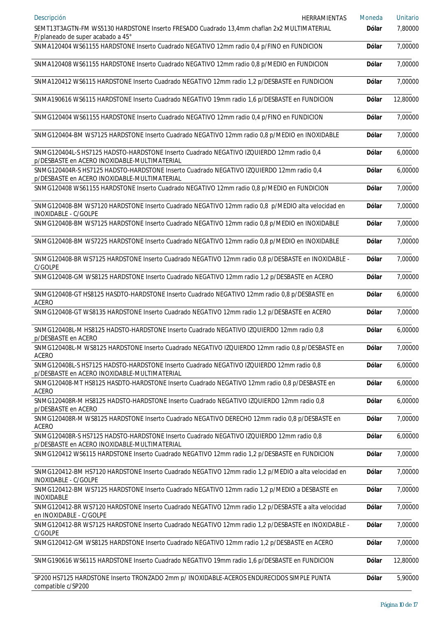| Descripción<br><b>HERRAMIENTAS</b>                                                                                                       | Moneda       | Unitario |
|------------------------------------------------------------------------------------------------------------------------------------------|--------------|----------|
| SEMT13T3AGTN-FM WS5130 HARDSTONE Inserto FRESADO Cuadrado 13,4mm chaflan 2x2 MULTIMATERIAL<br>P/planeado de super acabado a 45°          | <b>Dólar</b> | 7,80000  |
| SNMA120404 WS61155 HARDSTONE Inserto Cuadrado NEGATIVO 12mm radio 0,4 p/FINO en FUNDICION                                                | <b>Dólar</b> | 7,00000  |
| SNMA120408 WS61155 HARDSTONE Inserto Cuadrado NEGATIVO 12mm radio 0,8 p/MEDIO en FUNDICION                                               | <b>Dólar</b> | 7,00000  |
| SNMA120412 WS6115 HARDSTONE Inserto Cuadrado NEGATIVO 12mm radio 1,2 p/DESBASTE en FUNDICION                                             | <b>Dólar</b> | 7,00000  |
| SNMA190616 WS6115 HARDSTONE Inserto Cuadrado NEGATIVO 19mm radio 1,6 p/DESBASTE en FUNDICION                                             | <b>Dólar</b> | 12,80000 |
| SNMG120404 WS61155 HARDSTONE Inserto Cuadrado NEGATIVO 12mm radio 0,4 p/FINO en FUNDICION                                                | <b>Dólar</b> | 7,00000  |
| SNMG120404-BM WS7125 HARDSTONE Inserto Cuadrado NEGATIVO 12mm radio 0,8 p/MEDIO en INOXIDABLE                                            | <b>Dólar</b> | 7,00000  |
| SNMG120404L-S HS7125 HADSTO-HARDSTONE Inserto Cuadrado NEGATIVO IZQUIERDO 12mm radio 0,4<br>p/DESBASTE en ACERO INOXIDABLE-MULTIMATERIAL | <b>Dólar</b> | 6,00000  |
| SNMG120404R-S HS7125 HADSTO-HARDSTONE Inserto Cuadrado NEGATIVO IZQUIERDO 12mm radio 0,4<br>p/DESBASTE en ACERO INOXIDABLE-MULTIMATERIAL | <b>Dólar</b> | 6,00000  |
| SNMG120408 WS61155 HARDSTONE Inserto Cuadrado NEGATIVO 12mm radio 0,8 p/MEDIO en FUNDICION                                               | <b>Dólar</b> | 7,00000  |
| SNMG120408-BM WS7120 HARDSTONE Inserto Cuadrado NEGATIVO 12mm radio 0,8 p/MEDIO alta velocidad en<br>INOXIDABLE - C/GOLPE                | <b>Dólar</b> | 7,00000  |
| SNMG120408-BM WS7125 HARDSTONE Inserto Cuadrado NEGATIVO 12mm radio 0,8 p/MEDIO en INOXIDABLE                                            | <b>Dólar</b> | 7,00000  |
| SNMG120408-BM WS7225 HARDSTONE Inserto Cuadrado NEGATIVO 12mm radio 0,8 p/MEDIO en INOXIDABLE                                            | <b>Dólar</b> | 7,00000  |
| SNMG120408-BR WS7125 HARDSTONE Inserto Cuadrado NEGATIVO 12mm radio 0,8 p/DESBASTE en INOXIDABLE -<br>C/GOLPE                            | <b>Dólar</b> | 7,00000  |
| SNMG120408-GM WS8125 HARDSTONE Inserto Cuadrado NEGATIVO 12mm radio 1,2 p/DESBASTE en ACERO                                              | <b>Dólar</b> | 7,00000  |
| SNMG120408-GT HS8125 HASDTO-HARDSTONE Inserto Cuadrado NEGATIVO 12mm radio 0,8 p/DESBASTE en<br><b>ACERO</b>                             | <b>Dólar</b> | 6,00000  |
| SNMG120408-GT WS8135 HARDSTONE Inserto Cuadrado NEGATIVO 12mm radio 1,2 p/DESBASTE en ACERO                                              | <b>Dólar</b> | 7,00000  |
| SNMG120408L-M HS8125 HADSTO-HARDSTONE Inserto Cuadrado NEGATIVO IZQUIERDO 12mm radio 0,8<br>p/DESBASTE en ACERO                          | <b>Dólar</b> | 6,00000  |
| SNMG120408L-M WS8125 HARDSTONE Inserto Cuadrado NEGATIVO IZQUIERDO 12mm radio 0,8 p/DESBASTE en<br><b>ACERO</b>                          | <b>Dólar</b> | 7,00000  |
| SNMG120408L-S HS7125 HADSTO-HARDSTONE Inserto Cuadrado NEGATIVO IZQUIERDO 12mm radio 0,8<br>p/DESBASTE en ACERO INOXIDABLE-MULTIMATERIAL | <b>Dólar</b> | 6,00000  |
| SNMG120408-MT HS8125 HASDTO-HARDSTONE Inserto Cuadrado NEGATIVO 12mm radio 0,8 p/DESBASTE en<br><b>ACERO</b>                             | <b>Dólar</b> | 6,00000  |
| SNMG120408R-M HS8125 HADSTO-HARDSTONE Inserto Cuadrado NEGATIVO IZQUIERDO 12mm radio 0,8<br>p/DESBASTE en ACERO                          | <b>Dólar</b> | 6,00000  |
| SNMG120408R-M WS8125 HARDSTONE Inserto Cuadrado NEGATIVO DERECHO 12mm radio 0,8 p/DESBASTE en<br><b>ACERO</b>                            | <b>Dólar</b> | 7,00000  |
| SNMG120408R-S HS7125 HADSTO-HARDSTONE Inserto Cuadrado NEGATIVO IZQUIERDO 12mm radio 0,8<br>p/DESBASTE en ACERO INOXIDABLE-MULTIMATERIAL | <b>Dólar</b> | 6,00000  |
| SNMG120412 WS6115 HARDSTONE Inserto Cuadrado NEGATIVO 12mm radio 1,2 p/DESBASTE en FUNDICION                                             | <b>Dólar</b> | 7,00000  |
| SNMG120412-BM HS7120 HARDSTONE Inserto Cuadrado NEGATIVO 12mm radio 1,2 p/MEDIO a alta velocidad en<br>INOXIDABLE - C/GOLPE              | <b>Dólar</b> | 7,00000  |
| SNMG120412-BM WS7125 HARDSTONE Inserto Cuadrado NEGATIVO 12mm radio 1,2 p/MEDIO a DESBASTE en<br>INOXIDABLE                              | <b>Dólar</b> | 7,00000  |
| SNMG120412-BR WS7120 HARDSTONE Inserto Cuadrado NEGATIVO 12mm radio 1,2 p/DESBASTE a alta velocidad<br>en INOXIDABLE - C/GOLPE           | <b>Dólar</b> | 7,00000  |
| SNMG120412-BR WS7125 HARDSTONE Inserto Cuadrado NEGATIVO 12mm radio 1,2 p/DESBASTE en INOXIDABLE -<br>C/GOLPE                            | <b>Dólar</b> | 7,00000  |
| SNMG120412-GM WS8125 HARDSTONE Inserto Cuadrado NEGATIVO 12mm radio 1,2 p/DESBASTE en ACERO                                              | <b>Dólar</b> | 7,00000  |
| SNMG190616 WS6115 HARDSTONE Inserto Cuadrado NEGATIVO 19mm radio 1,6 p/DESBASTE en FUNDICION                                             | <b>Dólar</b> | 12,80000 |
| SP200 HS7125 HARDSTONE Inserto TRONZADO 2mm p/ INOXIDABLE-ACEROS ENDURECIDOS SIMPLE PUNTA<br>compatible c/SP200                          | <b>Dólar</b> | 5,90000  |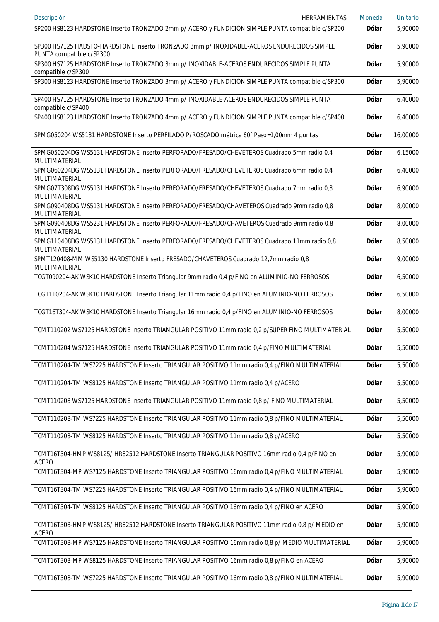| Descripción<br>HERRAMIENTAS                                                                                            | Moneda       | <b>Unitario</b> |
|------------------------------------------------------------------------------------------------------------------------|--------------|-----------------|
| SP200 HS8123 HARDSTONE Inserto TRONZADO 2mm p/ ACERO y FUNDICIÓN SIMPLE PUNTA compatible c/SP200                       | Dólar        | 5,90000         |
| SP300 HS7125 HADSTO-HARDSTONE Inserto TRONZADO 3mm p/ INOXIDABLE-ACEROS ENDURECIDOS SIMPLE<br>PUNTA compatible c/SP300 | <b>Dólar</b> | 5,90000         |
| SP300 HS7125 HARDSTONE Inserto TRONZADO 3mm p/ INOXIDABLE-ACEROS ENDURECIDOS SIMPLE PUNTA<br>compatible c/SP300        | <b>Dólar</b> | 5,90000         |
| SP300 HS8123 HARDSTONE Inserto TRONZADO 3mm p/ ACERO y FUNDICIÓN SIMPLE PUNTA compatible c/SP300                       | <b>Dólar</b> | 5,90000         |
| SP400 HS7125 HARDSTONE Inserto TRONZADO 4mm p/ INOXIDABLE-ACEROS ENDURECIDOS SIMPLE PUNTA<br>compatible c/SP400        | <b>Dólar</b> | 6,40000         |
| SP400 HS8123 HARDSTONE Inserto TRONZADO 4mm p/ ACERO y FUNDICIÓN SIMPLE PUNTA compatible c/SP400                       | <b>Dólar</b> | 6,40000         |
| SPMG050204 WS5131 HARDSTONE Inserto PERFILADO P/ROSCADO métrica 60° Paso=1,00mm 4 puntas                               | <b>Dólar</b> | 16,00000        |
| SPMG050204DG WS5131 HARDSTONE Inserto PERFORADO/FRESADO/CHEVETEROS Cuadrado 5mm radio 0,4<br>MULTIMATERIAL             | <b>Dólar</b> | 6,15000         |
| SPMG060204DG WS5131 HARDSTONE Inserto PERFORADO/FRESADO/CHEVETEROS Cuadrado 6mm radio 0,4<br>MULTIMATERIAL             | <b>Dólar</b> | 6,40000         |
| SPMG07T308DG WS5131 HARDSTONE Inserto PERFORADO/FRESADO/CHEVETEROS Cuadrado 7mm radio 0,8<br>MULTIMATERIAL             | <b>Dólar</b> | 6,90000         |
| SPMG090408DG WS5131 HARDSTONE Inserto PERFORADO/FRESADO/CHAVETEROS Cuadrado 9mm radio 0,8<br>MULTIMATERIAL             | <b>Dólar</b> | 8,00000         |
| SPMG090408DG WS5231 HARDSTONE Inserto PERFORADO/FRESADO/CHAVETEROS Cuadrado 9mm radio 0,8<br>MULTIMATERIAL             | <b>Dólar</b> | 8,00000         |
| SPMG110408DG WS5131 HARDSTONE Inserto PERFORADO/FRESADO/CHEVETEROS Cuadrado 11mm radio 0,8<br>MULTIMATERIAL            | <b>Dólar</b> | 8,50000         |
| SPMT120408-MM WS5130 HARDSTONE Inserto FRESADO/CHAVETEROS Cuadrado 12,7mm radio 0,8<br>MULTIMATERIAL                   | <b>Dólar</b> | 9,00000         |
| TCGT090204-AK WSK10 HARDSTONE Inserto Triangular 9mm radio 0,4 p/FINO en ALUMINIO-NO FERROSOS                          | <b>Dólar</b> | 6,50000         |
| TCGT110204-AK WSK10 HARDSTONE Inserto Triangular 11mm radio 0,4 p/FINO en ALUMINIO-NO FERROSOS                         | <b>Dólar</b> | 6,50000         |
| TCGT16T304-AK WSK10 HARDSTONE Inserto Triangular 16mm radio 0,4 p/FINO en ALUMINIO-NO FERROSOS                         | <b>Dólar</b> | 8,00000         |
| TCMT110202 WS7125 HARDSTONE Inserto TRIANGULAR POSITIVO 11mm radio 0,2 p/SUPER FINO MULTIMATERIAL                      | <b>Dólar</b> | 5,50000         |
| TCMT110204 WS7125 HARDSTONE Inserto TRIANGULAR POSITIVO 11mm radio 0,4 p/FINO MULTIMATERIAL                            | <b>Dólar</b> | 5,50000         |
| TCMT110204-TM WS7225 HARDSTONE Inserto TRIANGULAR POSITIVO 11mm radio 0,4 p/FINO MULTIMATERIAL                         | Dólar        | 5,50000         |
| TCMT110204-TM WS8125 HARDSTONE Inserto TRIANGULAR POSITIVO 11mm radio 0,4 p/ACERO                                      | <b>Dólar</b> | 5,50000         |
| TCMT110208 WS7125 HARDSTONE Inserto TRIANGULAR POSITIVO 11mm radio 0,8 p/ FINO MULTIMATERIAL                           | Dólar        | 5,50000         |
| TCMT110208-TM WS7225 HARDSTONE Inserto TRIANGULAR POSITIVO 11mm radio 0,8 p/FINO MULTIMATERIAL                         | Dólar        | 5,50000         |
| TCMT110208-TM WS8125 HARDSTONE Inserto TRIANGULAR POSITIVO 11mm radio 0,8 p/ACERO                                      | Dólar        | 5,50000         |
| TCMT16T304-HMP WS8125/HR82512 HARDSTONE Inserto TRIANGULAR POSITIVO 16mm radio 0,4 p/FINO en<br><b>ACERO</b>           | Dólar        | 5,90000         |
| TCMT16T304-MP WS7125 HARDSTONE Inserto TRIANGULAR POSITIVO 16mm radio 0,4 p/FINO MULTIMATERIAL                         | Dólar        | 5,90000         |
| TCMT16T304-TM WS7225 HARDSTONE Inserto TRIANGULAR POSITIVO 16mm radio 0,4 p/FINO MULTIMATERIAL                         | Dólar        | 5,90000         |
| TCMT16T304-TM WS8125 HARDSTONE Inserto TRIANGULAR POSITIVO 16mm radio 0,4 p/FINO en ACERO                              | Dólar        | 5,90000         |
| TCMT16T308-HMP WS8125/HR82512 HARDSTONE Inserto TRIANGULAR POSITIVO 11mm radio 0,8 p/ MEDIO en<br><b>ACERO</b>         | Dólar        | 5,90000         |
| TCMT16T308-MP WS7125 HARDSTONE Inserto TRIANGULAR POSITIVO 16mm radio 0,8 p/ MEDIO MULTIMATERIAL                       | <b>Dólar</b> | 5,90000         |
| TCMT16T308-MP WS8125 HARDSTONE Inserto TRIANGULAR POSITIVO 16mm radio 0,8 p/FINO en ACERO                              | <b>Dólar</b> | 5,90000         |
| TCMT16T308-TM WS7225 HARDSTONE Inserto TRIANGULAR POSITIVO 16mm radio 0,8 p/FINO MULTIMATERIAL                         | Dólar        | 5,90000         |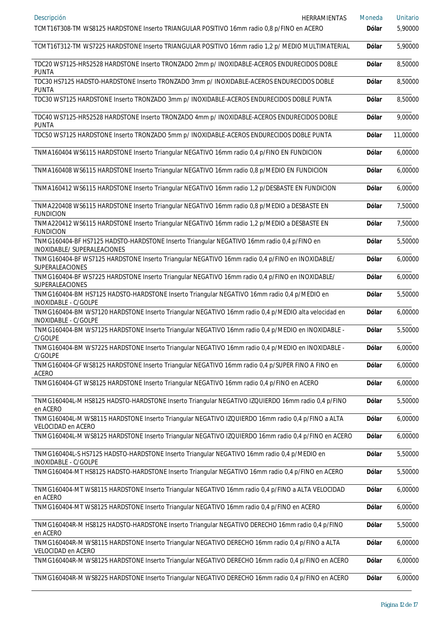| Descripción<br>HERRAMIENTAS                                                                                                 | Moneda       | <b>Unitario</b> |
|-----------------------------------------------------------------------------------------------------------------------------|--------------|-----------------|
| TCMT16T308-TM WS8125 HARDSTONE Inserto TRIANGULAR POSITIVO 16mm radio 0,8 p/FINO en ACERO                                   | Dólar        | 5,90000         |
| TCMT16T312-TM WS7225 HARDSTONE Inserto TRIANGULAR POSITIVO 16mm radio 1,2 p/ MEDIO MULTIMATERIAL                            | Dólar        | 5,90000         |
| TDC20 WS7125-HR52528 HARDSTONE Inserto TRONZADO 2mm p/ INOXIDABLE-ACEROS ENDURECIDOS DOBLE<br><b>PUNTA</b>                  | Dólar        | 8,50000         |
| TDC30 HS7125 HADSTO-HARDSTONE Inserto TRONZADO 3mm p/ INOXIDABLE-ACEROS ENDURECIDOS DOBLE<br>PUNTA                          | Dólar        | 8,50000         |
| TDC30 WS7125 HARDSTONE Inserto TRONZADO 3mm p/ INOXIDABLE-ACEROS ENDURECIDOS DOBLE PUNTA                                    | Dólar        | 8,50000         |
| TDC40 WS7125-HR52528 HARDSTONE Inserto TRONZADO 4mm p/ INOXIDABLE-ACEROS ENDURECIDOS DOBLE<br><b>PUNTA</b>                  | Dólar        | 9,00000         |
| TDC50 WS7125 HARDSTONE Inserto TRONZADO 5mm p/ INOXIDABLE-ACEROS ENDURECIDOS DOBLE PUNTA                                    | Dólar        | 11,00000        |
| TNMA160404 WS6115 HARDSTONE Inserto Triangular NEGATIVO 16mm radio 0,4 p/FINO EN FUNDICION                                  | Dólar        | 6,00000         |
| TNMA160408 WS6115 HARDSTONE Inserto Triangular NEGATIVO 16mm radio 0,8 p/MEDIO EN FUNDICION                                 | Dólar        | 6,00000         |
| TNMA160412 WS6115 HARDSTONE Inserto Triangular NEGATIVO 16mm radio 1,2 p/DESBASTE EN FUNDICION                              | Dólar        | 6,00000         |
| TNMA220408 WS6115 HARDSTONE Inserto Triangular NEGATIVO 16mm radio 0,8 p/MEDIO a DESBASTE EN<br><b>FUNDICION</b>            | Dólar        | 7,50000         |
| TNMA220412 WS6115 HARDSTONE Inserto Triangular NEGATIVO 16mm radio 1,2 p/MEDIO a DESBASTE EN<br><b>FUNDICION</b>            | Dólar        | 7,50000         |
| TNMG160404-BF HS7125 HADSTO-HARDSTONE Inserto Triangular NEGATIVO 16mm radio 0,4 p/FINO en<br>INOXIDABLE/ SUPERALEACIONES   | Dólar        | 5,50000         |
| TNMG160404-BF WS7125 HARDSTONE Inserto Triangular NEGATIVO 16mm radio 0,4 p/FINO en INOXIDABLE/<br><b>SUPERALEACIONES</b>   | Dólar        | 6,00000         |
| TNMG160404-BF WS7225 HARDSTONE Inserto Triangular NEGATIVO 16mm radio 0,4 p/FINO en INOXIDABLE/<br><b>SUPERALEACIONES</b>   | Dólar        | 6,00000         |
| TNMG160404-BM HS7125 HADSTO-HARDSTONE Inserto Triangular NEGATIVO 16mm radio 0,4 p/MEDIO en<br>INOXIDABLE - C/GOLPE         | Dólar        | 5,50000         |
| TNMG160404-BM WS7120 HARDSTONE Inserto Triangular NEGATIVO 16mm radio 0,4 p/MEDIO alta velocidad en<br>INOXIDABLE - C/GOLPE | Dólar        | 6,00000         |
| TNMG160404-BM WS7125 HARDSTONE Inserto Triangular NEGATIVO 16mm radio 0,4 p/MEDIO en INOXIDABLE -<br>C/GOLPE                | Dólar        | 5,50000         |
| TNMG160404-BM WS7225 HARDSTONE Inserto Triangular NEGATIVO 16mm radio 0,4 p/MEDIO en INOXIDABLE -<br>C/GOLPE                | <b>Dólar</b> | 6,00000         |
| TNMG160404-GF WS8125 HARDSTONE Inserto Triangular NEGATIVO 16mm radio 0,4 p/SUPER FINO A FINO en<br><b>ACERO</b>            | Dólar        | 6,00000         |
| TNMG160404-GT WS8125 HARDSTONE Inserto Triangular NEGATIVO 16mm radio 0,4 p/FINO en ACERO                                   | Dólar        | 6,00000         |
| TNMG160404L-M HS8125 HADSTO-HARDSTONE Inserto Triangular NEGATIVO IZQUIERDO 16mm radio 0,4 p/FINO<br>en ACERO               | <b>Dólar</b> | 5,50000         |
| TNMG160404L-M WS8115 HARDSTONE Inserto Triangular NEGATIVO IZQUIERDO 16mm radio 0,4 p/FINO a ALTA<br>VELOCIDAD en ACERO     | Dólar        | 6,00000         |
| TNMG160404L-M WS8125 HARDSTONE Inserto Triangular NEGATIVO IZQUIERDO 16mm radio 0,4 p/FINO en ACERO                         | <b>Dólar</b> | 6,00000         |
| TNMG160404L-S HS7125 HADSTO-HARDSTONE Inserto Triangular NEGATIVO 16mm radio 0,4 p/MEDIO en<br>INOXIDABLE - C/GOLPE         | Dólar        | 5,50000         |
| TNMG160404-MT HS8125 HADSTO-HARDSTONE Inserto Triangular NEGATIVO 16mm radio 0,4 p/FINO en ACERO                            | <b>Dólar</b> | 5,50000         |
| TNMG160404-MT WS8115 HARDSTONE Inserto Triangular NEGATIVO 16mm radio 0,4 p/FINO a ALTA VELOCIDAD<br>en ACERO               | Dólar        | 6,00000         |
| TNMG160404-MT WS8125 HARDSTONE Inserto Triangular NEGATIVO 16mm radio 0,4 p/FINO en ACERO                                   | <b>Dólar</b> | 6,00000         |
| TNMG160404R-M HS8125 HADSTO-HARDSTONE Inserto Triangular NEGATIVO DERECHO 16mm radio 0,4 p/FINO<br>en ACERO                 | Dólar        | 5,50000         |
| TNMG160404R-M WS8115 HARDSTONE Inserto Triangular NEGATIVO DERECHO 16mm radio 0,4 p/FINO a ALTA<br>VELOCIDAD en ACERO       | <b>Dólar</b> | 6,00000         |
| TNMG160404R-M WS8125 HARDSTONE Inserto Triangular NEGATIVO DERECHO 16mm radio 0,4 p/FINO en ACERO                           | <b>Dólar</b> | 6,00000         |
| TNMG160404R-M WS8225 HARDSTONE Inserto Triangular NEGATIVO DERECHO 16mm radio 0,4 p/FINO en ACERO                           | <b>Dólar</b> | 6,00000         |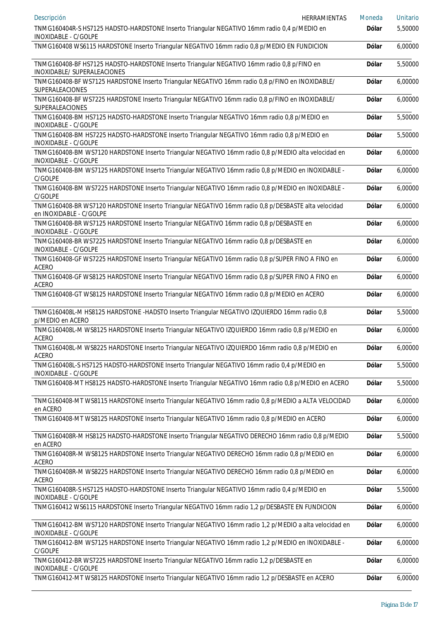| Descripción<br><b>HERRAMIENTAS</b>                                                                                             | Moneda       | <b>Unitario</b> |
|--------------------------------------------------------------------------------------------------------------------------------|--------------|-----------------|
| TNMG160404R-S HS7125 HADSTO-HARDSTONE Inserto Triangular NEGATIVO 16mm radio 0,4 p/MEDIO en<br>INOXIDABLE - C/GOLPE            | <b>Dólar</b> | 5,50000         |
| TNMG160408 WS6115 HARDSTONE Inserto Triangular NEGATIVO 16mm radio 0,8 p/MEDIO EN FUNDICION                                    | <b>Dólar</b> | 6,00000         |
| TNMG160408-BF HS7125 HADSTO-HARDSTONE Inserto Triangular NEGATIVO 16mm radio 0,8 p/FINO en<br>INOXIDABLE/ SUPERALEACIONES      | Dólar        | 5,50000         |
| TNMG160408-BF WS7125 HARDSTONE Inserto Triangular NEGATIVO 16mm radio 0,8 p/FINO en INOXIDABLE/<br>SUPERALEACIONES             | Dólar        | 6,00000         |
| TNMG160408-BF WS7225 HARDSTONE Inserto Triangular NEGATIVO 16mm radio 0,8 p/FINO en INOXIDABLE/<br>SUPERALEACIONES             | Dólar        | 6,00000         |
| TNMG160408-BM HS7125 HADSTO-HARDSTONE Inserto Triangular NEGATIVO 16mm radio 0,8 p/MEDIO en<br>INOXIDABLE - C/GOLPE            | Dólar        | 5,50000         |
| TNMG160408-BM HS7225 HADSTO-HARDSTONE Inserto Triangular NEGATIVO 16mm radio 0,8 p/MEDIO en<br>INOXIDABLE - C/GOLPE            | Dólar        | 5,50000         |
| TNMG160408-BM WS7120 HARDSTONE Inserto Triangular NEGATIVO 16mm radio 0,8 p/MEDIO alta velocidad en<br>INOXIDABLE - C/GOLPE    | Dólar        | 6,00000         |
| TNMG160408-BM WS7125 HARDSTONE Inserto Triangular NEGATIVO 16mm radio 0,8 p/MEDIO en INOXIDABLE -<br>C/GOLPE                   | Dólar        | 6,00000         |
| TNMG160408-BM WS7225 HARDSTONE Inserto Triangular NEGATIVO 16mm radio 0,8 p/MEDIO en INOXIDABLE -<br>C/GOLPE                   | Dólar        | 6,00000         |
| TNMG160408-BR WS7120 HARDSTONE Inserto Triangular NEGATIVO 16mm radio 0,8 p/DESBASTE alta velocidad<br>en INOXIDABLE - C/GOLPE | Dólar        | 6,00000         |
| TNMG160408-BR WS7125 HARDSTONE Inserto Triangular NEGATIVO 16mm radio 0,8 p/DESBASTE en<br>INOXIDABLE - C/GOLPE                | Dólar        | 6,00000         |
| TNMG160408-BR WS7225 HARDSTONE Inserto Triangular NEGATIVO 16mm radio 0,8 p/DESBASTE en<br>INOXIDABLE - C/GOLPE                | Dólar        | 6,00000         |
| TNMG160408-GF WS7225 HARDSTONE Inserto Triangular NEGATIVO 16mm radio 0,8 p/SUPER FINO A FINO en<br>ACERO                      | Dólar        | 6,00000         |
| TNMG160408-GF WS8125 HARDSTONE Inserto Triangular NEGATIVO 16mm radio 0,8 p/SUPER FINO A FINO en<br><b>ACERO</b>               | Dólar        | 6,00000         |
| TNMG160408-GT WS8125 HARDSTONE Inserto Triangular NEGATIVO 16mm radio 0,8 p/MEDIO en ACERO                                     | Dólar        | 6,00000         |
| TNMG160408L-M HS8125 HARDSTONE -HADSTO Inserto Triangular NEGATIVO IZQUIERDO 16mm radio 0,8<br>p/MEDIO en ACERO                | Dólar        | 5,50000         |
| TNMG160408L-M WS8125 HARDSTONE Inserto Triangular NEGATIVO IZQUIERDO 16mm radio 0,8 p/MEDIO en<br>ACERO                        | Dólar        | 6,00000         |
| TNMG160408L-M WS8225 HARDSTONE Inserto Triangular NEGATIVO IZQUIERDO 16mm radio 0,8 p/MEDIO en<br>ACERO                        | <b>Dólar</b> | 6,00000         |
| TNMG160408L-S HS7125 HADSTO-HARDSTONE Inserto Triangular NEGATIVO 16mm radio 0,4 p/MEDIO en<br>INOXIDABLE - C/GOLPE            | <b>Dólar</b> | 5,50000         |
| TNMG160408-MT HS8125 HADSTO-HARDSTONE Inserto Triangular NEGATIVO 16mm radio 0,8 p/MEDIO en ACERO                              | <b>Dólar</b> | 5,50000         |
| TNMG160408-MT WS8115 HARDSTONE Inserto Triangular NEGATIVO 16mm radio 0,8 p/MEDIO a ALTA VELOCIDAD<br>en ACERO                 | <b>Dólar</b> | 6,00000         |
| TNMG160408-MT WS8125 HARDSTONE Inserto Triangular NEGATIVO 16mm radio 0,8 p/MEDIO en ACERO                                     | <b>Dólar</b> | 6,00000         |
| TNMG160408R-M HS8125 HADSTO-HARDSTONE Inserto Triangular NEGATIVO DERECHO 16mm radio 0,8 p/MEDIO<br>en ACERO                   | <b>Dólar</b> | 5,50000         |
| TNMG160408R-M WS8125 HARDSTONE Inserto Triangular NEGATIVO DERECHO 16mm radio 0,8 p/MEDIO en<br><b>ACERO</b>                   | Dólar        | 6,00000         |
| TNMG160408R-M WS8225 HARDSTONE Inserto Triangular NEGATIVO DERECHO 16mm radio 0,8 p/MEDIO en<br>ACERO                          | <b>Dólar</b> | 6,00000         |
| TNMG160408R-S HS7125 HADSTO-HARDSTONE Inserto Triangular NEGATIVO 16mm radio 0,4 p/MEDIO en<br>INOXIDABLE - C/GOLPE            | <b>Dólar</b> | 5,50000         |
| TNMG160412 WS6115 HARDSTONE Inserto Triangular NEGATIVO 16mm radio 1,2 p/DESBASTE EN FUNDICION                                 | <b>Dólar</b> | 6,00000         |
| TNMG160412-BM WS7120 HARDSTONE Inserto Triangular NEGATIVO 16mm radio 1,2 p/MEDIO a alta velocidad en<br>INOXIDABLE - C/GOLPE  | <b>Dólar</b> | 6,00000         |
| TNMG160412-BM WS7125 HARDSTONE Inserto Triangular NEGATIVO 16mm radio 1,2 p/MEDIO en INOXIDABLE -<br>C/GOLPE                   | <b>Dólar</b> | 6,00000         |
| TNMG160412-BR WS7225 HARDSTONE Inserto Triangular NEGATIVO 16mm radio 1,2 p/DESBASTE en<br>INOXIDABLE - C/GOLPE                | <b>Dólar</b> | 6,00000         |
| TNMG160412-MT WS8125 HARDSTONE Inserto Triangular NEGATIVO 16mm radio 1,2 p/DESBASTE en ACERO                                  | <b>Dólar</b> | 6,00000         |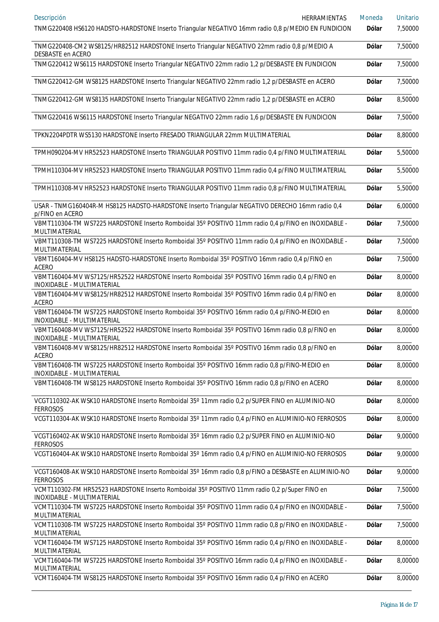| Descripción<br>HERRAMIENTAS<br>TNMG220408 HS6120 HADSTO-HARDSTONE Inserto Triangular NEGATIVO 16mm radio 0,8 p/MEDIO EN FUNDICION | Moneda<br>Dólar | <b>Unitario</b><br>7,50000 |
|-----------------------------------------------------------------------------------------------------------------------------------|-----------------|----------------------------|
| TNMG220408-CM2 WS8125/HR82512 HARDSTONE Inserto Triangular NEGATIVO 22mm radio 0,8 p/MEDIO A                                      | Dólar           | 7,50000                    |
| DESBASTE en ACERO<br>TNMG220412 WS6115 HARDSTONE Inserto Triangular NEGATIVO 22mm radio 1,2 p/DESBASTE EN FUNDICION               | Dólar           | 7,50000                    |
| TNMG220412-GM WS8125 HARDSTONE Inserto Triangular NEGATIVO 22mm radio 1,2 p/DESBASTE en ACERO                                     | <b>Dólar</b>    | 7,50000                    |
| TNMG220412-GM WS8135 HARDSTONE Inserto Triangular NEGATIVO 22mm radio 1,2 p/DESBASTE en ACERO                                     | <b>Dólar</b>    | 8,50000                    |
| TNMG220416 WS6115 HARDSTONE Inserto Triangular NEGATIVO 22mm radio 1,6 p/DESBASTE EN FUNDICION                                    | <b>Dólar</b>    | 7,50000                    |
| TPKN2204PDTR WS5130 HARDSTONE Inserto FRESADO TRIANGULAR 22mm MULTIMATERIAL                                                       | Dólar           | 8,80000                    |
| TPMH090204-MV HR52523 HARDSTONE Inserto TRIANGULAR POSITIVO 11mm radio 0,4 p/FINO MULTIMATERIAL                                   | <b>Dólar</b>    | 5,50000                    |
| TPMH110304-MV HR52523 HARDSTONE Inserto TRIANGULAR POSITIVO 11mm radio 0,4 p/FINO MULTIMATERIAL                                   | Dólar           | 5,50000                    |
| TPMH110308-MV HR52523 HARDSTONE Inserto TRIANGULAR POSITIVO 11mm radio 0,8 p/FINO MULTIMATERIAL                                   | Dólar           | 5,50000                    |
| USAR - TNMG160404R-M HS8125 HADSTO-HARDSTONE Inserto Triangular NEGATIVO DERECHO 16mm radio 0,4<br>p/FINO en ACERO                | <b>Dólar</b>    | 6,00000                    |
| VBMT110304-TM WS7225 HARDSTONE Inserto Romboidal 35° POSITIVO 11mm radio 0,4 p/FINO en INOXIDABLE -<br>MULTIMATERIAL              | Dólar           | 7,50000                    |
| VBMT110308-TM WS7225 HARDSTONE Inserto Romboidal 35° POSITIVO 11mm radio 0,4 p/FINO en INOXIDABLE -<br>MULTIMATERIAL              | Dólar           | 7,50000                    |
| VBMT160404-MV HS8125 HADSTO-HARDSTONE Inserto Romboidal 35° POSITIVO 16mm radio 0,4 p/FINO en<br>ACERO                            | <b>Dólar</b>    | 7,50000                    |
| VBMT160404-MV WS7125/HR52522 HARDSTONE Inserto Romboidal 35° POSITIVO 16mm radio 0,4 p/FINO en<br>INOXIDABLE - MULTIMATERIAL      | Dólar           | 8,00000                    |
| VBMT160404-MV WS8125/HR82512 HARDSTONE Inserto Romboidal 35° POSITIVO 16mm radio 0,4 p/FINO en<br>ACERO                           | Dólar           | 8,00000                    |
| VBMT160404-TM WS7225 HARDSTONE Inserto Romboidal 35° POSITIVO 16mm radio 0,4 p/FINO-MEDIO en<br>INOXIDABLE - MULTIMATERIAL        | Dólar           | 8,00000                    |
| VBMT160408-MV WS7125/HR52522 HARDSTONE Inserto Romboidal 35° POSITIVO 16mm radio 0,8 p/FINO en<br>INOXIDABLE - MULTIMATERIAL      | Dólar           | 8,00000                    |
| VBMT160408-MV WS8125/HR82512 HARDSTONE Inserto Romboidal 35° POSITIVO 16mm radio 0,8 p/FINO en<br><b>ACERO</b>                    | <b>Dólar</b>    | 8,00000                    |
| VBMT160408-TM WS7225 HARDSTONE Inserto Romboidal 35° POSITIVO 16mm radio 0,8 p/FINO-MEDIO en<br>INOXIDABLE - MULTIMATERIAL        | Dólar           | 8,00000                    |
| VBMT160408-TM WS8125 HARDSTONE Inserto Romboidal 35° POSITIVO 16mm radio 0,8 p/FINO en ACERO                                      | <b>Dólar</b>    | 8,00000                    |
| VCGT110302-AK WSK10 HARDSTONE Inserto Romboidal 35° 11mm radio 0,2 p/SUPER FINO en ALUMINIO-NO<br><b>FERROSOS</b>                 | Dólar           | 8,00000                    |
| VCGT110304-AK WSK10 HARDSTONE Inserto Romboidal 35° 11mm radio 0,4 p/FINO en ALUMINIO-NO FERROSOS                                 | Dólar           | 8,00000                    |
| VCGT160402-AK WSK10 HARDSTONE Inserto Romboidal 35° 16mm radio 0,2 p/SUPER FINO en ALUMINIO-NO<br><b>FERROSOS</b>                 | <b>Dólar</b>    | 9,00000                    |
| VCGT160404-AK WSK10 HARDSTONE Inserto Romboidal 35° 16mm radio 0,4 p/FINO en ALUMINIO-NO FERROSOS                                 | <b>Dólar</b>    | 9,00000                    |
| VCGT160408-AK WSK10 HARDSTONE Inserto Romboidal 35° 16mm radio 0,8 p/FINO a DESBASTE en ALUMINIO-NO<br><b>FERROSOS</b>            | <b>Dólar</b>    | 9,00000                    |
| VCMT110302-FM HR52523 HARDSTONE Inserto Romboidal 35° POSITIVO 11mm radio 0,2 p/Super FINO en<br>INOXIDABLE - MULTIMATERIAL       | <b>Dólar</b>    | 7,50000                    |
| VCMT110304-TM WS7225 HARDSTONE Inserto Romboidal 35° POSITIVO 11mm radio 0,4 p/FINO en INOXIDABLE -<br>MULTIMATERIAL              | Dólar           | 7,50000                    |
| VCMT110308-TM WS7225 HARDSTONE Inserto Romboidal 35° POSITIVO 11mm radio 0,8 p/FINO en INOXIDABLE -<br>MULTIMATERIAL              | Dólar           | 7,50000                    |
| VCMT160404-TM WS7125 HARDSTONE Inserto Romboidal 35° POSITIVO 16mm radio 0,4 p/FINO en INOXIDABLE -<br>MULTIMATERIAL              | <b>Dólar</b>    | 8,00000                    |
| VCMT160404-TM WS7225 HARDSTONE Inserto Romboidal 35° POSITIVO 16mm radio 0,4 p/FINO en INOXIDABLE -<br>MULTIMATERIAL              | <b>Dólar</b>    | 8,00000                    |
| VCMT160404-TM WS8125 HARDSTONE Inserto Romboidal 35° POSITIVO 16mm radio 0,4 p/FINO en ACERO                                      | <b>Dólar</b>    | 8,00000                    |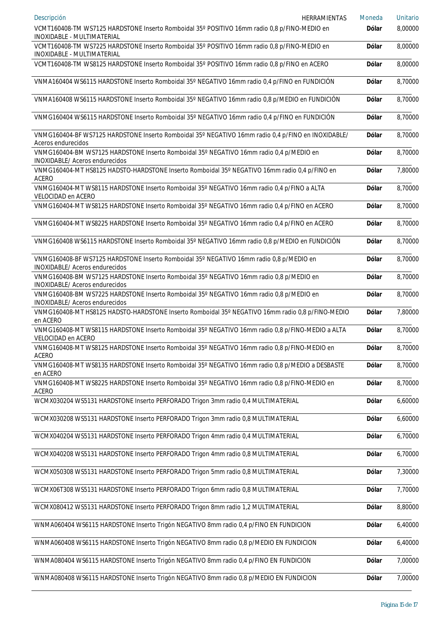| Descripción<br>HERRAMIENTAS                                                                                                | Moneda       | <b>Unitario</b> |
|----------------------------------------------------------------------------------------------------------------------------|--------------|-----------------|
| VCMT160408-TM WS7125 HARDSTONE Inserto Romboidal 35° POSITIVO 16mm radio 0,8 p/FINO-MEDIO en<br>INOXIDABLE - MULTIMATERIAL | <b>Dólar</b> | 8,00000         |
| VCMT160408-TM WS7225 HARDSTONE Inserto Romboidal 35° POSITIVO 16mm radio 0,8 p/FINO-MEDIO en<br>INOXIDABLE - MULTIMATERIAL | <b>Dólar</b> | 8,00000         |
| VCMT160408-TM WS8125 HARDSTONE Inserto Romboidal 35° POSITIVO 16mm radio 0,8 p/FINO en ACERO                               | <b>Dólar</b> | 8,00000         |
| VNMA160404 WS6115 HARDSTONE Inserto Romboidal 35° NEGATIVO 16mm radio 0,4 p/FINO en FUNDICIÓN                              | <b>Dólar</b> | 8,70000         |
| VNMA160408 WS6115 HARDSTONE Inserto Romboidal 35° NEGATIVO 16mm radio 0,8 p/MEDIO en FUNDICIÓN                             | <b>Dólar</b> | 8,70000         |
| VNMG160404 WS6115 HARDSTONE Inserto Romboidal 35° NEGATIVO 16mm radio 0,4 p/FINO en FUNDICIÓN                              | <b>Dólar</b> | 8,70000         |
| VNMG160404-BF WS7125 HARDSTONE Inserto Romboidal 35° NEGATIVO 16mm radio 0,4 p/FINO en INOXIDABLE/<br>Aceros endurecidos   | <b>Dólar</b> | 8,70000         |
| VNMG160404-BM WS7125 HARDSTONE Inserto Romboidal 35° NEGATIVO 16mm radio 0,4 p/MEDIO en<br>INOXIDABLE/ Aceros endurecidos  | <b>Dólar</b> | 8,70000         |
| VNMG160404-MT HS8125 HADSTO-HARDSTONE Inserto Romboidal 35° NEGATIVO 16mm radio 0,4 p/FINO en<br><b>ACERO</b>              | <b>Dólar</b> | 7,80000         |
| VNMG160404-MT WS8115 HARDSTONE Inserto Romboidal 35° NEGATIVO 16mm radio 0,4 p/FINO a ALTA<br>VELOCIDAD en ACERO           | <b>Dólar</b> | 8,70000         |
| VNMG160404-MT WS8125 HARDSTONE Inserto Romboidal 35° NEGATIVO 16mm radio 0,4 p/FINO en ACERO                               | <b>Dólar</b> | 8,70000         |
| VNMG160404-MT WS8225 HARDSTONE Inserto Romboidal 35° NEGATIVO 16mm radio 0,4 p/FINO en ACERO                               | <b>Dólar</b> | 8,70000         |
| VNMG160408 WS6115 HARDSTONE Inserto Romboidal 35° NEGATIVO 16mm radio 0,8 p/MEDIO en FUNDICIÓN                             | <b>Dólar</b> | 8,70000         |
| VNMG160408-BF WS7125 HARDSTONE Inserto Romboidal 35° NEGATIVO 16mm radio 0,8 p/MEDIO en<br>INOXIDABLE/ Aceros endurecidos  | <b>Dólar</b> | 8,70000         |
| VNMG160408-BM WS7125 HARDSTONE Inserto Romboidal 35° NEGATIVO 16mm radio 0,8 p/MEDIO en<br>INOXIDABLE/ Aceros endurecidos  | <b>Dólar</b> | 8,70000         |
| VNMG160408-BM WS7225 HARDSTONE Inserto Romboidal 35° NEGATIVO 16mm radio 0,8 p/MEDIO en<br>INOXIDABLE/ Aceros endurecidos  | <b>Dólar</b> | 8,70000         |
| VNMG160408-MT HS8125 HADSTO-HARDSTONE Inserto Romboidal 35° NEGATIVO 16mm radio 0,8 p/FINO-MEDIO<br>en ACERO               | <b>Dólar</b> | 7,80000         |
| VNMG160408-MT WS8115 HARDSTONE Inserto Romboidal 35° NEGATIVO 16mm radio 0,8 p/FINO-MEDIO a ALTA<br>VELOCIDAD en ACERO     | <b>Dólar</b> | 8,70000         |
| VNMG160408-MT WS8125 HARDSTONE Inserto Romboidal 35° NEGATIVO 16mm radio 0,8 p/FINO-MEDIO en<br><b>ACERO</b>               | <b>Dólar</b> | 8,70000         |
| VNMG160408-MT WS8135 HARDSTONE Inserto Romboidal 35° NEGATIVO 16mm radio 0,8 p/MEDIO a DESBASTE<br>en ACERO                | <b>Dólar</b> | 8,70000         |
| VNMG160408-MT WS8225 HARDSTONE Inserto Romboidal 35° NEGATIVO 16mm radio 0,8 p/FINO-MEDIO en<br><b>ACERO</b>               | <b>Dólar</b> | 8,70000         |
| WCMX030204 WS5131 HARDSTONE Inserto PERFORADO Trigon 3mm radio 0,4 MULTIMATERIAL                                           | <b>Dólar</b> | 6,60000         |
| WCMX030208 WS5131 HARDSTONE Inserto PERFORADO Trigon 3mm radio 0,8 MULTIMATERIAL                                           | <b>Dólar</b> | 6,60000         |
| WCMX040204 WS5131 HARDSTONE Inserto PERFORADO Trigon 4mm radio 0,4 MULTIMATERIAL                                           | <b>Dólar</b> | 6,70000         |
| WCMX040208 WS5131 HARDSTONE Inserto PERFORADO Trigon 4mm radio 0,8 MULTIMATERIAL                                           | <b>Dólar</b> | 6,70000         |
| WCMX050308 WS5131 HARDSTONE Inserto PERFORADO Trigon 5mm radio 0,8 MULTIMATERIAL                                           | <b>Dólar</b> | 7,30000         |
| WCMX06T308 WS5131 HARDSTONE Inserto PERFORADO Trigon 6mm radio 0,8 MULTIMATERIAL                                           | <b>Dólar</b> | 7,70000         |
| WCMX080412 WS5131 HARDSTONE Inserto PERFORADO Trigon 8mm radio 1,2 MULTIMATERIAL                                           | <b>Dólar</b> | 8,80000         |
| WNMA060404 WS6115 HARDSTONE Inserto Trigón NEGATIVO 8mm radio 0,4 p/FINO EN FUNDICION                                      | <b>Dólar</b> | 6,40000         |
| WNMA060408 WS6115 HARDSTONE Inserto Trigón NEGATIVO 8mm radio 0,8 p/MEDIO EN FUNDICION                                     | <b>Dólar</b> | 6,40000         |
| WNMA080404 WS6115 HARDSTONE Inserto Trigón NEGATIVO 8mm radio 0,4 p/FINO EN FUNDICION                                      | <b>Dólar</b> | 7,00000         |
| WNMA080408 WS6115 HARDSTONE Inserto Trigón NEGATIVO 8mm radio 0,8 p/MEDIO EN FUNDICION                                     | <b>Dólar</b> | 7,00000         |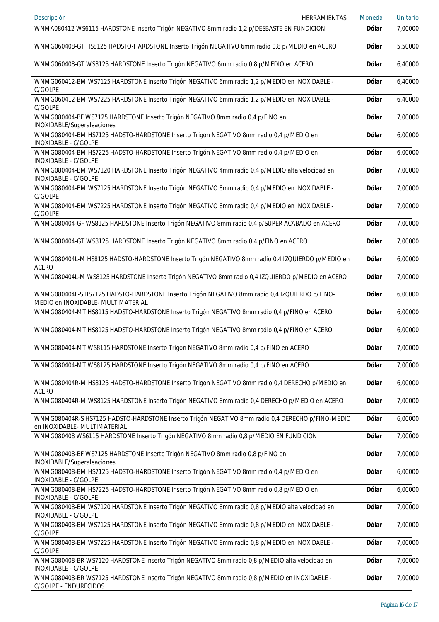| Descripción<br>HERRAMIENTAS                                                                                                         | Moneda       | <b>Unitario</b> |
|-------------------------------------------------------------------------------------------------------------------------------------|--------------|-----------------|
| WNMA080412 WS6115 HARDSTONE Inserto Trigón NEGATIVO 8mm radio 1,2 p/DESBASTE EN FUNDICION                                           | <b>Dólar</b> | 7,00000         |
| WNMG060408-GT HS8125 HADSTO-HARDSTONE Inserto Trigón NEGATIVO 6mm radio 0,8 p/MEDIO en ACERO                                        | Dólar        | 5,50000         |
| WNMG060408-GT WS8125 HARDSTONE Inserto Trigón NEGATIVO 6mm radio 0,8 p/MEDIO en ACERO                                               | Dólar        | 6,40000         |
| WNMG060412-BM WS7125 HARDSTONE Inserto Trigón NEGATIVO 6mm radio 1,2 p/MEDIO en INOXIDABLE -<br>C/GOLPE                             | Dólar        | 6,40000         |
| WNMG060412-BM WS7225 HARDSTONE Inserto Trigón NEGATIVO 6mm radio 1,2 p/MEDIO en INOXIDABLE -<br>C/GOLPE                             | Dólar        | 6,40000         |
| WNMG080404-BF WS7125 HARDSTONE Inserto Trigón NEGATIVO 8mm radio 0,4 p/FINO en<br>INOXIDABLE/Superaleaciones                        | Dólar        | 7,00000         |
| WNMG080404-BM HS7125 HADSTO-HARDSTONE Inserto Trigón NEGATIVO 8mm radio 0,4 p/MEDIO en<br>INOXIDABLE - C/GOLPE                      | Dólar        | 6,00000         |
| WNMG080404-BM HS7225 HADSTO-HARDSTONE Inserto Trigón NEGATIVO 8mm radio 0,4 p/MEDIO en<br>INOXIDABLE - C/GOLPE                      | Dólar        | 6,00000         |
| WNMG080404-BM WS7120 HARDSTONE Inserto Trigón NEGATIVO 4mm radio 0,4 p/MEDIO alta velocidad en<br>INOXIDABLE - C/GOLPE              | Dólar        | 7,00000         |
| WNMG080404-BM WS7125 HARDSTONE Inserto Trigón NEGATIVO 8mm radio 0,4 p/MEDIO en INOXIDABLE -<br>C/GOLPE                             | Dólar        | 7,00000         |
| WNMG080404-BM WS7225 HARDSTONE Inserto Trigón NEGATIVO 8mm radio 0,4 p/MEDIO en INOXIDABLE -<br>C/GOLPE                             | Dólar        | 7,00000         |
| WNMG080404-GF WS8125 HARDSTONE Inserto Trigón NEGATIVO 8mm radio 0,4 p/SUPER ACABADO en ACERO                                       | Dólar        | 7,00000         |
| WNMG080404-GT WS8125 HARDSTONE Inserto Trigón NEGATIVO 8mm radio 0,4 p/FINO en ACERO                                                | Dólar        | 7,00000         |
| WNMG080404L-M HS8125 HADSTO-HARDSTONE Inserto Trigón NEGATIVO 8mm radio 0,4 IZQUIERDO p/MEDIO en<br><b>ACERO</b>                    | Dólar        | 6,00000         |
| WNMG080404L-M WS8125 HARDSTONE Inserto Trigón NEGATIVO 8mm radio 0,4 IZQUIERDO p/MEDIO en ACERO                                     | Dólar        | 7,00000         |
| WNMG080404L-S HS7125 HADSTO-HARDSTONE Inserto Trigón NEGATIVO 8mm radio 0,4 IZQUIERDO p/FINO-<br>MEDIO en INOXIDABLE- MULTIMATERIAL | Dólar        | 6,00000         |
| WNMG080404-MT HS8115 HADSTO-HARDSTONE Inserto Trigón NEGATIVO 8mm radio 0,4 p/FINO en ACERO                                         | Dólar        | 6,00000         |
| WNMG080404-MT HS8125 HADSTO-HARDSTONE Inserto Trigón NEGATIVO 8mm radio 0,4 p/FINO en ACERO                                         | Dólar        | 6,00000         |
| WNMG080404-MT WS8115 HARDSTONE Inserto Trigón NEGATIVO 8mm radio 0,4 p/FINO en ACERO                                                | <b>Dólar</b> | 7,00000         |
| WNMG080404-MT WS8125 HARDSTONE Inserto Trigón NEGATIVO 8mm radio 0,4 p/FINO en ACERO                                                | Dólar        | 7,00000         |
| WNMG080404R-M HS8125 HADSTO-HARDSTONE Inserto Trigón NEGATIVO 8mm radio 0,4 DERECHO p/MEDIO en<br>ACERO                             | <b>Dólar</b> | 6,00000         |
| WNMG080404R-M WS8125 HARDSTONE Inserto Trigón NEGATIVO 8mm radio 0,4 DERECHO p/MEDIO en ACERO                                       | Dólar        | 7,00000         |
| WNMG080404R-S HS7125 HADSTO-HARDSTONE Inserto Trigón NEGATIVO 8mm radio 0,4 DERECHO p/FINO-MEDIO<br>en INOXIDABLE- MULTIMATERIAL    | <b>Dólar</b> | 6,00000         |
| WNMG080408 WS6115 HARDSTONE Inserto Trigón NEGATIVO 8mm radio 0,8 p/MEDIO EN FUNDICION                                              | Dólar        | 7,00000         |
| WNMG080408-BF WS7125 HARDSTONE Inserto Trigón NEGATIVO 8mm radio 0,8 p/FINO en<br>INOXIDABLE/Superaleaciones                        | Dólar        | 7,00000         |
| WNMG080408-BM HS7125 HADSTO-HARDSTONE Inserto Trigón NEGATIVO 8mm radio 0,4 p/MEDIO en<br>INOXIDABLE - C/GOLPE                      | Dólar        | 6,00000         |
| WNMG080408-BM HS7225 HADSTO-HARDSTONE Inserto Trigón NEGATIVO 8mm radio 0,8 p/MEDIO en<br>INOXIDABLE - C/GOLPE                      | Dólar        | 6,00000         |
| WNMG080408-BM WS7120 HARDSTONE Inserto Trigón NEGATIVO 8mm radio 0,8 p/MEDIO alta velocidad en<br>INOXIDABLE - C/GOLPE              | Dólar        | 7,00000         |
| WNMG080408-BM WS7125 HARDSTONE Inserto Trigón NEGATIVO 8mm radio 0,8 p/MEDIO en INOXIDABLE -<br>C/GOLPE                             | Dólar        | 7,00000         |
| WNMG080408-BM WS7225 HARDSTONE Inserto Trigón NEGATIVO 8mm radio 0,8 p/MEDIO en INOXIDABLE -<br>C/GOLPE                             | Dólar        | 7,00000         |
| WNMG080408-BR WS7120 HARDSTONE Inserto Trigón NEGATIVO 8mm radio 0,8 p/MEDIO alta velocidad en<br>INOXIDABLE - C/GOLPE              | Dólar        | 7,00000         |
| WNMG080408-BR WS7125 HARDSTONE Inserto Trigón NEGATIVO 8mm radio 0,8 p/MEDIO en INOXIDABLE -<br>C/GOLPE - ENDURECIDOS               | <b>Dólar</b> | 7,00000         |